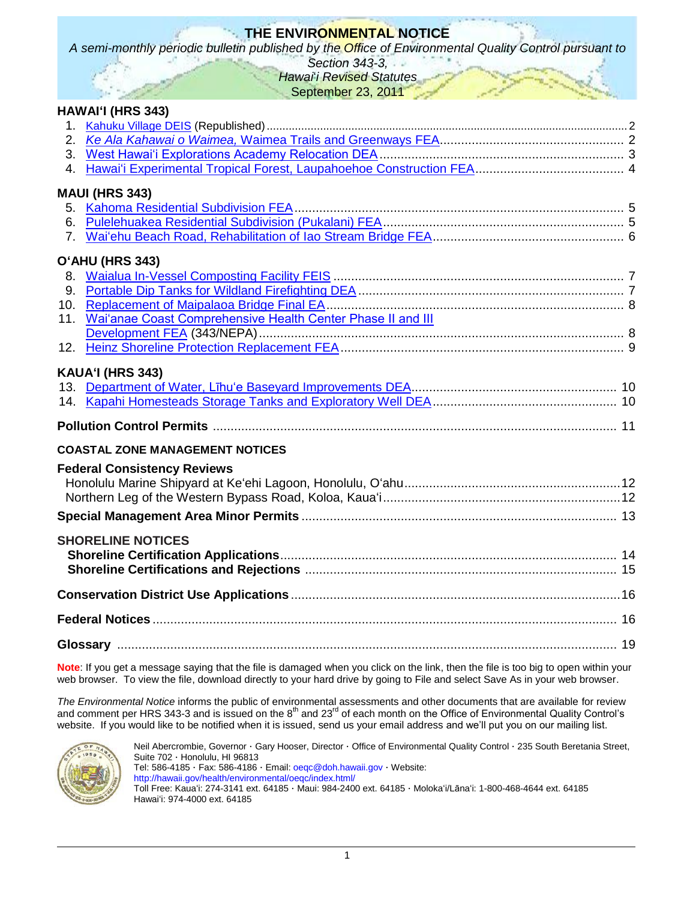# **THE ENVIRONMENTAL NOTICE**

*A semi-monthly periodic bulletin published by the Office of Environmental Quality Control pursuant to* 

*Section 343-3, Hawai*"*i Revised Statutes*

September 23, 2011

|                | HAWAI'I (HRS 343)                                           |  |
|----------------|-------------------------------------------------------------|--|
|                |                                                             |  |
|                |                                                             |  |
|                |                                                             |  |
| 4.             |                                                             |  |
|                | <b>MAUI (HRS 343)</b>                                       |  |
|                |                                                             |  |
|                |                                                             |  |
| 7 <sub>1</sub> |                                                             |  |
|                | O'AHU (HRS 343)                                             |  |
|                |                                                             |  |
|                |                                                             |  |
|                |                                                             |  |
| 11.            | Wai'anae Coast Comprehensive Health Center Phase II and III |  |
|                |                                                             |  |
|                |                                                             |  |
|                | KAUA'I (HRS 343)                                            |  |
|                |                                                             |  |
|                | <b>COASTAL ZONE MANAGEMENT NOTICES</b>                      |  |
|                | <b>Federal Consistency Reviews</b>                          |  |
|                |                                                             |  |
|                |                                                             |  |
|                |                                                             |  |
|                | <b>SHORELINE NOTICES</b>                                    |  |
|                |                                                             |  |
|                |                                                             |  |
|                |                                                             |  |

**Note**: If you get a message saying that the file is damaged when you click on the link, then the file is too big to open within your web browser. To view the file, download directly to your hard drive by going to File and select Save As in your web browser.

*The Environmental Notice* informs the public of environmental assessments and other documents that are available for review and comment per HRS 343-3 and is issued on the  $8^{th}$  and 23<sup>rd</sup> of each month on the Office of Environmental Quality Control's website. If you would like to be notified when it is issued, send us your email address and we'll put you on our mailing list.



Neil Abercrombie, Governor · Gary Hooser, Director · Office of Environmental Quality Control · 235 South Beretania Street, Suite 702 · Honolulu, HI 96813 Tel: 586-4185 · Fax: 586-4186 · Email: [oeqc@doh.hawaii.gov](mailto:oeqc@doh.hawaii.gov) · Website: <http://hawaii.gov/health/environmental/oeqc/index.html/> Toll Free: Kauaʻi: 274-3141 ext. 64185 · Maui: 984-2400 ext. 64185 · Molokaʻi/Lānaʻi: 1-800-468-4644 ext. 64185 Hawaiʻi: 974-4000 ext. 64185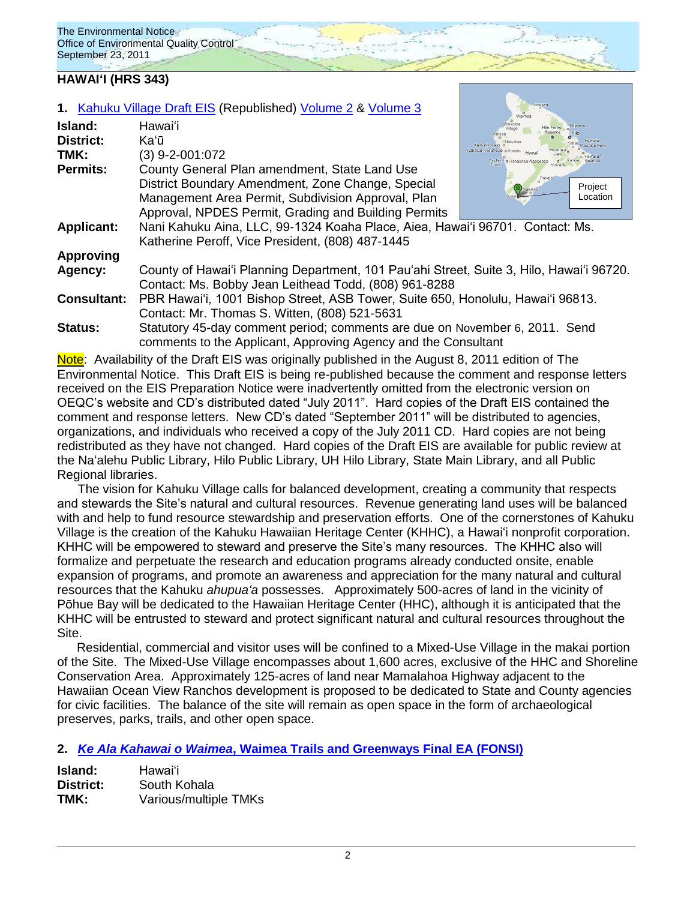### **HAWAIʻI (HRS 343)**

|                    | 1. Kahuku Village Draft EIS (Republished) Volume 2 & Volume 3                            |                                                        |
|--------------------|------------------------------------------------------------------------------------------|--------------------------------------------------------|
| Island:            | Hawai'i                                                                                  |                                                        |
| <b>District:</b>   | Kaʻū                                                                                     |                                                        |
| TMK:               | $(3)$ 9-2-001:072                                                                        | Kahaluu-Keauhoulo o Honali<br>Captain o Honaunau-Napor |
| <b>Permits:</b>    | County General Plan amendment, State Land Use                                            |                                                        |
|                    | District Boundary Amendment, Zone Change, Special                                        | Project<br>laalehu                                     |
|                    | Management Area Permit, Subdivision Approval, Plan                                       | Location                                               |
|                    | Approval, NPDES Permit, Grading and Building Permits                                     |                                                        |
| <b>Applicant:</b>  | Nani Kahuku Aina, LLC, 99-1324 Koaha Place, Aiea, Hawai'i 96701. Contact: Ms.            |                                                        |
|                    | Katherine Peroff, Vice President, (808) 487-1445                                         |                                                        |
| <b>Approving</b>   |                                                                                          |                                                        |
| Agency:            | County of Hawai'i Planning Department, 101 Pau'ahi Street, Suite 3, Hilo, Hawai'i 96720. |                                                        |
|                    | Contact: Ms. Bobby Jean Leithead Todd, (808) 961-8288                                    |                                                        |
| <b>Consultant:</b> | PBR Hawai'i, 1001 Bishop Street, ASB Tower, Suite 650, Honolulu, Hawai'i 96813.          |                                                        |
|                    | Contact: Mr. Thomas S. Witten, (808) 521-5631                                            |                                                        |
| <b>Status:</b>     | Statutory 45-day comment period; comments are due on November 6, 2011. Send              |                                                        |
|                    | comments to the Applicant, Approving Agency and the Consultant                           |                                                        |

Note: Availability of the Draft EIS was originally published in the August 8, 2011 edition of The Environmental Notice. This Draft EIS is being re-published because the comment and response letters received on the EIS Preparation Notice were inadvertently omitted from the electronic version on OEQC"s website and CD"s distributed dated "July 2011". Hard copies of the Draft EIS contained the comment and response letters. New CD"s dated "September 2011" will be distributed to agencies, organizations, and individuals who received a copy of the July 2011 CD. Hard copies are not being redistributed as they have not changed. Hard copies of the Draft EIS are available for public review at the Naʻalehu Public Library, Hilo Public Library, UH Hilo Library, State Main Library, and all Public Regional libraries.

The vision for Kahuku Village calls for balanced development, creating a community that respects and stewards the Site's natural and cultural resources. Revenue generating land uses will be balanced with and help to fund resource stewardship and preservation efforts. One of the cornerstones of Kahuku Village is the creation of the Kahuku Hawaiian Heritage Center (KHHC), a Hawaiʻi nonprofit corporation. KHHC will be empowered to steward and preserve the Site"s many resources. The KHHC also will formalize and perpetuate the research and education programs already conducted onsite, enable expansion of programs, and promote an awareness and appreciation for the many natural and cultural resources that the Kahuku *ahupua'a* possesses. Approximately 500-acres of land in the vicinity of Pōhue Bay will be dedicated to the Hawaiian Heritage Center (HHC), although it is anticipated that the KHHC will be entrusted to steward and protect significant natural and cultural resources throughout the Site.

Residential, commercial and visitor uses will be confined to a Mixed-Use Village in the makai portion of the Site. The Mixed-Use Village encompasses about 1,600 acres, exclusive of the HHC and Shoreline Conservation Area. Approximately 125-acres of land near Mamalahoa Highway adjacent to the Hawaiian Ocean View Ranchos development is proposed to be dedicated to State and County agencies for civic facilities. The balance of the site will remain as open space in the form of archaeological preserves, parks, trails, and other open space.

### **2.** *[Ke Ala Kahawai o Waimea](http://oeqc.doh.hawaii.gov/Shared%20Documents/EA_and_EIS_Online_Library/Hawaii/2010s/2011-09-23-FEA-Ke-Ala-Kahawai-O-Waimea-Trails-Greenways.pdf)***, Waimea Trails and Greenways Final EA (FONSI)**

| Island:   | Hawaiʻi               |
|-----------|-----------------------|
| District: | South Kohala          |
| TMK:      | Various/multiple TMKs |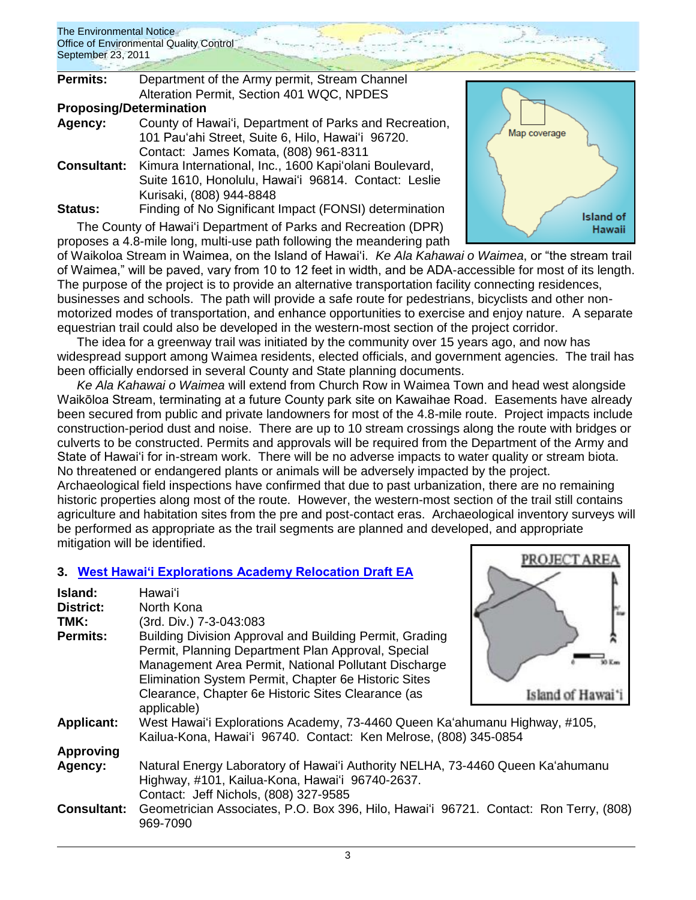| <b>Permits:</b>                | Department of the Army permit, Stream Channel          |  |
|--------------------------------|--------------------------------------------------------|--|
|                                | Alteration Permit, Section 401 WQC, NPDES              |  |
| <b>Proposing/Determination</b> |                                                        |  |
| Agency:                        | County of Hawai'i, Department of Parks and Recreation, |  |
|                                | 101 Pau'ahi Street, Suite 6, Hilo, Hawai'i 96720.      |  |
|                                | Contact: James Komata, (808) 961-8311                  |  |
| <b>Consultant:</b>             | Kimura International, Inc., 1600 Kapi'olani Boulevard, |  |
|                                | Suite 1610, Honolulu, Hawai'i 96814. Contact: Leslie   |  |
|                                | Kurisaki, (808) 944-8848                               |  |
| Status:                        | Finding of No Significant Impact (FONSI) determination |  |

The County of Hawaiʻi Department of Parks and Recreation (DPR) proposes a 4.8-mile long, multi-use path following the meandering path



PROJECT ARE

of Waikoloa Stream in Waimea, on the Island of Hawai"i. *Ke Ala Kahawai o Waimea*, or "the stream trail of Waimea," will be paved, vary from 10 to 12 feet in width, and be ADA-accessible for most of its length. The purpose of the project is to provide an alternative transportation facility connecting residences, businesses and schools. The path will provide a safe route for pedestrians, bicyclists and other nonmotorized modes of transportation, and enhance opportunities to exercise and enjoy nature. A separate equestrian trail could also be developed in the western-most section of the project corridor.

The idea for a greenway trail was initiated by the community over 15 years ago, and now has widespread support among Waimea residents, elected officials, and government agencies. The trail has been officially endorsed in several County and State planning documents.

*Ke Ala Kahawai o Waimea* will extend from Church Row in Waimea Town and head west alongside Waikōloa Stream, terminating at a future County park site on Kawaihae Road. Easements have already been secured from public and private landowners for most of the 4.8-mile route. Project impacts include construction-period dust and noise. There are up to 10 stream crossings along the route with bridges or culverts to be constructed. Permits and approvals will be required from the Department of the Army and State of Hawai'i for in-stream work. There will be no adverse impacts to water quality or stream biota. No threatened or endangered plants or animals will be adversely impacted by the project.

Archaeological field inspections have confirmed that due to past urbanization, there are no remaining historic properties along most of the route. However, the western-most section of the trail still contains agriculture and habitation sites from the pre and post-contact eras. Archaeological inventory surveys will be performed as appropriate as the trail segments are planned and developed, and appropriate mitigation will be identified.

## **3. [West Hawai'i Explorations Academy Relocation Draft EA](http://oeqc.doh.hawaii.gov/Shared%20Documents/EA_and_EIS_Online_Library/Hawaii/2010s/2011-09-23-DEA-West-Hawaii-Explorations-Academy.pdf)**

| Island:<br><b>District:</b><br>TMK:<br><b>Permits:</b> | Hawai'i<br>North Kona<br>(3rd. Div.) 7-3-043:083<br>Building Division Approval and Building Permit, Grading<br>Permit, Planning Department Plan Approval, Special<br>Management Area Permit, National Pollutant Discharge<br>Elimination System Permit, Chapter 6e Historic Sites<br>Clearance, Chapter 6e Historic Sites Clearance (as<br>applicable) | Island of Haw |
|--------------------------------------------------------|--------------------------------------------------------------------------------------------------------------------------------------------------------------------------------------------------------------------------------------------------------------------------------------------------------------------------------------------------------|---------------|
| <b>Applicant:</b>                                      | West Hawai'i Explorations Academy, 73-4460 Queen Ka'ahumanu Highway, #105,<br>Kailua-Kona, Hawai'i 96740. Contact: Ken Melrose, (808) 345-0854                                                                                                                                                                                                         |               |
| <b>Approving</b>                                       |                                                                                                                                                                                                                                                                                                                                                        |               |
| Agency:                                                | Natural Energy Laboratory of Hawai'i Authority NELHA, 73-4460 Queen Ka'ahumanu<br>Highway, #101, Kailua-Kona, Hawai'i 96740-2637.<br>Contact: Jeff Nichols, (808) 327-9585                                                                                                                                                                             |               |
| <b>Consultant:</b>                                     | Geometrician Associates, P.O. Box 396, Hilo, Hawai'i 96721. Contact: Ron Terry, (808)<br>969-7090                                                                                                                                                                                                                                                      |               |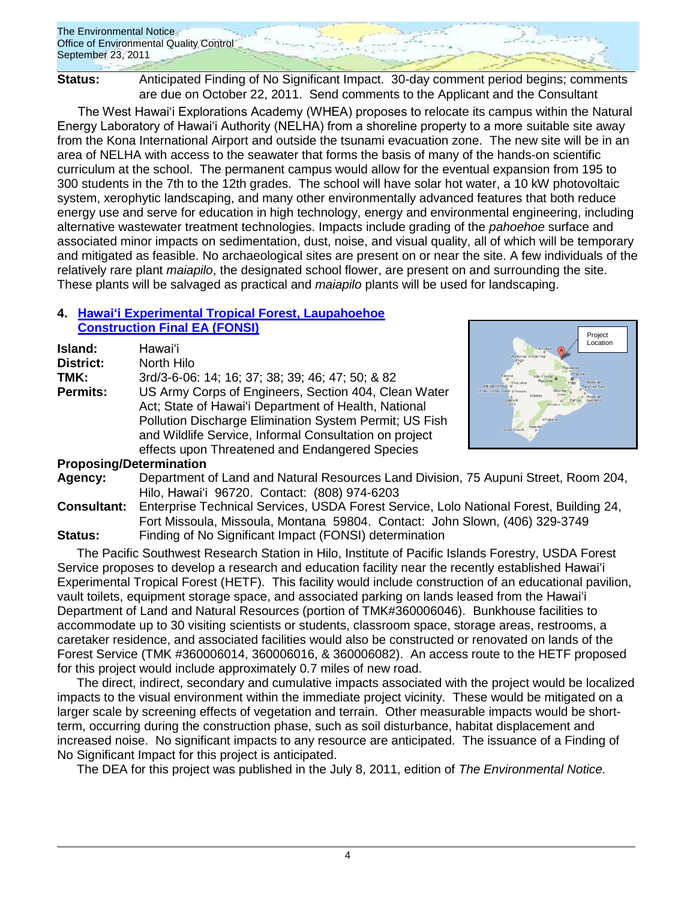**Status:** Anticipated Finding of No Significant Impact. 30-day comment period begins; comments are due on October 22, 2011. Send comments to the Applicant and the Consultant

The West Hawai'i Explorations Academy (WHEA) proposes to relocate its campus within the Natural Energy Laboratory of Hawai'i Authority (NELHA) from a shoreline property to a more suitable site away from the Kona International Airport and outside the tsunami evacuation zone. The new site will be in an area of NELHA with access to the seawater that forms the basis of many of the hands-on scientific curriculum at the school. The permanent campus would allow for the eventual expansion from 195 to 300 students in the 7th to the 12th grades. The school will have solar hot water, a 10 kW photovoltaic system, xerophytic landscaping, and many other environmentally advanced features that both reduce energy use and serve for education in high technology, energy and environmental engineering, including alternative wastewater treatment technologies. Impacts include grading of the *pahoehoe* surface and associated minor impacts on sedimentation, dust, noise, and visual quality, all of which will be temporary and mitigated as feasible. No archaeological sites are present on or near the site. A few individuals of the relatively rare plant *maiapilo*, the designated school flower, are present on and surrounding the site. These plants will be salvaged as practical and *maiapilo* plants will be used for landscaping.

### **4. Hawaiʻi [Experimental Tropical Forest, Laupahoehoe](http://oeqc.doh.hawaii.gov/Shared%20Documents/EA_and_EIS_Online_Library/Hawaii/2010s/2011-09-23-FEA-Hawaii-Experimental-Laupahoehoe-Construction.pdf)  [Construction Final EA \(FONSI\)](http://oeqc.doh.hawaii.gov/Shared%20Documents/EA_and_EIS_Online_Library/Hawaii/2010s/2011-09-23-FEA-Hawaii-Experimental-Laupahoehoe-Construction.pdf)**

| Island:          | Hawai'i                                                                                                                                                                                                                                                                            |
|------------------|------------------------------------------------------------------------------------------------------------------------------------------------------------------------------------------------------------------------------------------------------------------------------------|
| <b>District:</b> | North Hilo                                                                                                                                                                                                                                                                         |
| TMK:             | 3rd/3-6-06: 14; 16; 37; 38; 39; 46; 47; 50; & 82                                                                                                                                                                                                                                   |
| <b>Permits:</b>  | US Army Corps of Engineers, Section 404, Clean Water<br>Act; State of Hawai'i Department of Health, National<br>Pollution Discharge Elimination System Permit; US Fish<br>and Wildlife Service, Informal Consultation on project<br>effects upon Threatened and Endangered Species |



## **Proposing/Determination**

- **Agency:** Department of Land and Natural Resources Land Division, 75 Aupuni Street, Room 204, Hilo, Hawaiʻi 96720. Contact: (808) 974-6203
- **Consultant:** Enterprise Technical Services, USDA Forest Service, Lolo National Forest, Building 24, Fort Missoula, Missoula, Montana 59804. Contact: John Slown, (406) 329-3749 **Status:** Finding of No Significant Impact (FONSI) determination

The Pacific Southwest Research Station in Hilo, Institute of Pacific Islands Forestry, USDA Forest Service proposes to develop a research and education facility near the recently established Hawaiʻi Experimental Tropical Forest (HETF). This facility would include construction of an educational pavilion, vault toilets, equipment storage space, and associated parking on lands leased from the Hawaiʻi Department of Land and Natural Resources (portion of TMK#360006046). Bunkhouse facilities to accommodate up to 30 visiting scientists or students, classroom space, storage areas, restrooms, a caretaker residence, and associated facilities would also be constructed or renovated on lands of the Forest Service (TMK #360006014, 360006016, & 360006082). An access route to the HETF proposed for this project would include approximately 0.7 miles of new road.

The direct, indirect, secondary and cumulative impacts associated with the project would be localized impacts to the visual environment within the immediate project vicinity. These would be mitigated on a larger scale by screening effects of vegetation and terrain. Other measurable impacts would be shortterm, occurring during the construction phase, such as soil disturbance, habitat displacement and increased noise. No significant impacts to any resource are anticipated. The issuance of a Finding of No Significant Impact for this project is anticipated.

The DEA for this project was published in the July 8, 2011, edition of *The Environmental Notice.*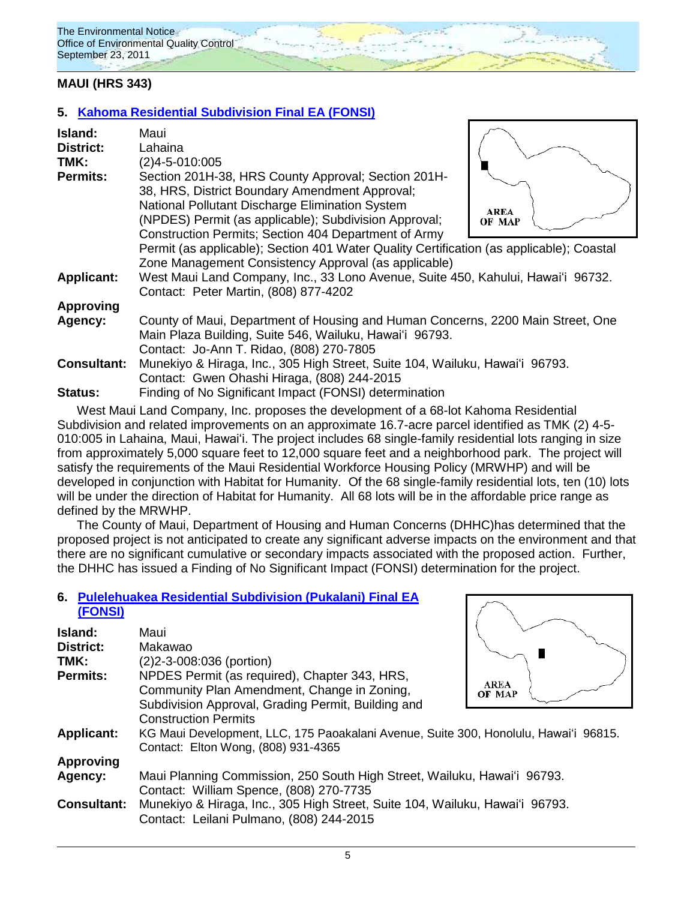## **MAUI (HRS 343)**

## **5. [Kahoma Residential Subdivision](http://oeqc.doh.hawaii.gov/Shared%20Documents/EA_and_EIS_Online_Library/Maui/2010s/2011-09-23-FEA-Kahoma-Residential-Subdivision.pdf) Final EA (FONSI)**

| Island:<br>District:<br>TMK: | Maui<br>Lahaina<br>$(2)4 - 5 - 010:005$                                                                                                                                                |                       |
|------------------------------|----------------------------------------------------------------------------------------------------------------------------------------------------------------------------------------|-----------------------|
| <b>Permits:</b>              | Section 201H-38, HRS County Approval; Section 201H-<br>38, HRS, District Boundary Amendment Approval;                                                                                  |                       |
|                              | National Pollutant Discharge Elimination System<br>(NPDES) Permit (as applicable); Subdivision Approval;<br>Construction Permits; Section 404 Department of Army                       | <b>AREA</b><br>OF MAP |
|                              | Permit (as applicable); Section 401 Water Quality Certification (as applicable); Coastal<br>Zone Management Consistency Approval (as applicable)                                       |                       |
| <b>Applicant:</b>            | West Maui Land Company, Inc., 33 Lono Avenue, Suite 450, Kahului, Hawai'i 96732.<br>Contact: Peter Martin, (808) 877-4202                                                              |                       |
| <b>Approving</b>             |                                                                                                                                                                                        |                       |
| Agency:                      | County of Maui, Department of Housing and Human Concerns, 2200 Main Street, One<br>Main Plaza Building, Suite 546, Wailuku, Hawai'i 96793.<br>Contact: Jo-Ann T. Ridao, (808) 270-7805 |                       |
| <b>Consultant:</b>           | Munekiyo & Hiraga, Inc., 305 High Street, Suite 104, Wailuku, Hawai'i 96793.<br>Contact: Gwen Ohashi Hiraga, (808) 244-2015                                                            |                       |
| Status:                      | Finding of No Significant Impact (FONSI) determination                                                                                                                                 |                       |

West Maui Land Company, Inc. proposes the development of a 68-lot Kahoma Residential Subdivision and related improvements on an approximate 16.7-acre parcel identified as TMK (2) 4-5- 010:005 in Lahaina, Maui, Hawaiʻi. The project includes 68 single-family residential lots ranging in size from approximately 5,000 square feet to 12,000 square feet and a neighborhood park. The project will satisfy the requirements of the Maui Residential Workforce Housing Policy (MRWHP) and will be developed in conjunction with Habitat for Humanity. Of the 68 single-family residential lots, ten (10) lots will be under the direction of Habitat for Humanity. All 68 lots will be in the affordable price range as defined by the MRWHP.

The County of Maui, Department of Housing and Human Concerns (DHHC)has determined that the proposed project is not anticipated to create any significant adverse impacts on the environment and that there are no significant cumulative or secondary impacts associated with the proposed action. Further, the DHHC has issued a Finding of No Significant Impact (FONSI) determination for the project.

### **6. [Pulelehuakea Residential Subdivision \(Pukalani\)](http://oeqc.doh.hawaii.gov/Shared%20Documents/EA_and_EIS_Online_Library/Maui/2010s/2011-09-23-FEA-Pulelehuakea-Residential-Subdivision.pdf) Final EA [\(FONSI\)](http://oeqc.doh.hawaii.gov/Shared%20Documents/EA_and_EIS_Online_Library/Maui/2010s/2011-09-23-FEA-Pulelehuakea-Residential-Subdivision.pdf)**

| Island:            | Maui                                                                                         |                       |
|--------------------|----------------------------------------------------------------------------------------------|-----------------------|
| <b>District:</b>   | Makawao                                                                                      |                       |
| TMK:               | (2) 2-3-008:036 (portion)                                                                    |                       |
| <b>Permits:</b>    | NPDES Permit (as required), Chapter 343, HRS,<br>Community Plan Amendment, Change in Zoning, | <b>AREA</b><br>OF MAP |
|                    | Subdivision Approval, Grading Permit, Building and                                           |                       |
|                    | <b>Construction Permits</b>                                                                  |                       |
| <b>Applicant:</b>  | KG Maui Development, LLC, 175 Paoakalani Avenue, Suite 300, Honolulu, Hawai'i 96815.         |                       |
|                    | Contact: Elton Wong, (808) 931-4365                                                          |                       |
| <b>Approving</b>   |                                                                                              |                       |
| Agency:            | Maui Planning Commission, 250 South High Street, Wailuku, Hawai'i 96793.                     |                       |
|                    | Contact: William Spence, (808) 270-7735                                                      |                       |
| <b>Consultant:</b> | Munekiyo & Hiraga, Inc., 305 High Street, Suite 104, Wailuku, Hawai'i 96793.                 |                       |
|                    | Contact: Leilani Pulmano, (808) 244-2015                                                     |                       |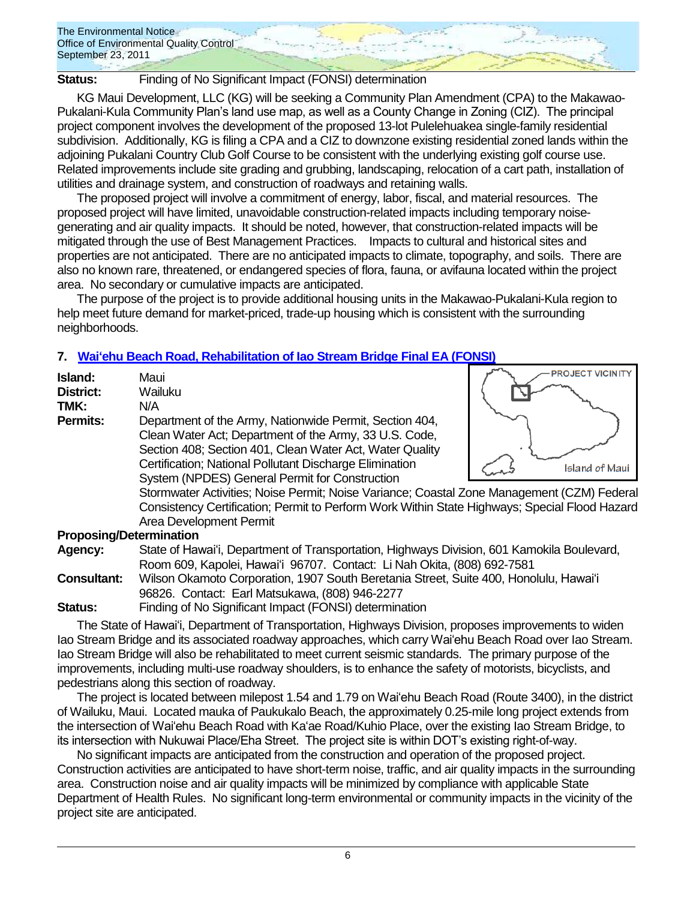

**Status:** Finding of No Significant Impact (FONSI) determination

KG Maui Development, LLC (KG) will be seeking a Community Plan Amendment (CPA) to the Makawao-Pukalani-Kula Community Plan"s land use map, as well as a County Change in Zoning (CIZ). The principal project component involves the development of the proposed 13-lot Pulelehuakea single-family residential subdivision. Additionally, KG is filing a CPA and a CIZ to downzone existing residential zoned lands within the adjoining Pukalani Country Club Golf Course to be consistent with the underlying existing golf course use. Related improvements include site grading and grubbing, landscaping, relocation of a cart path, installation of utilities and drainage system, and construction of roadways and retaining walls.

The proposed project will involve a commitment of energy, labor, fiscal, and material resources. The proposed project will have limited, unavoidable construction-related impacts including temporary noisegenerating and air quality impacts. It should be noted, however, that construction-related impacts will be mitigated through the use of Best Management Practices. Impacts to cultural and historical sites and properties are not anticipated. There are no anticipated impacts to climate, topography, and soils. There are also no known rare, threatened, or endangered species of flora, fauna, or avifauna located within the project area. No secondary or cumulative impacts are anticipated.

The purpose of the project is to provide additional housing units in the Makawao-Pukalani-Kula region to help meet future demand for market-priced, trade-up housing which is consistent with the surrounding neighborhoods.

**PROJECT VICINITY** 

## **7. [Waiʻehu Beach Road, Rehabilitation of Iao Stream Bridge](http://oeqc.doh.hawaii.gov/Shared%20Documents/EA_and_EIS_Online_Library/Maui/2010s/2011-09-23-FEA-Waiehu-Iao-Stream-Bridge-Rehabilitation.pdf) Final EA (FONSI)**

| Island:<br><b>District:</b>    | Maui<br>Wailuku                                                                                                                                                                                                                                                          | <b>PROJECT VICINITY</b> |
|--------------------------------|--------------------------------------------------------------------------------------------------------------------------------------------------------------------------------------------------------------------------------------------------------------------------|-------------------------|
| TMK:<br><b>Permits:</b>        | N/A<br>Department of the Army, Nationwide Permit, Section 404,<br>Clean Water Act; Department of the Army, 33 U.S. Code,<br>Section 408; Section 401, Clean Water Act, Water Quality<br>Certification; National Pollutant Discharge Elimination                          | Island of Maui          |
|                                | System (NPDES) General Permit for Construction<br>Stormwater Activities; Noise Permit; Noise Variance; Coastal Zone Management (CZM) Federal<br>Consistency Certification; Permit to Perform Work Within State Highways; Special Flood Hazard<br>Area Development Permit |                         |
| <b>Proposing/Determination</b> |                                                                                                                                                                                                                                                                          |                         |
| <b>Agency:</b>                 | State of Hawai'i, Department of Transportation, Highways Division, 601 Kamokila Boulevard,<br>Room 609, Kapolei, Hawai'i 96707. Contact: Li Nah Okita, (808) 692-7581                                                                                                    |                         |

**Consultant:** Wilson Okamoto Corporation, 1907 South Beretania Street, Suite 400, Honolulu, Hawaiʻi 96826. Contact: Earl Matsukawa, (808) 946-2277

**Status:** Finding of No Significant Impact (FONSI) determination

The State of Hawaiʻi, Department of Transportation, Highways Division, proposes improvements to widen Iao Stream Bridge and its associated roadway approaches, which carry Waiʻehu Beach Road over Iao Stream. Iao Stream Bridge will also be rehabilitated to meet current seismic standards. The primary purpose of the improvements, including multi-use roadway shoulders, is to enhance the safety of motorists, bicyclists, and pedestrians along this section of roadway.

The project is located between milepost 1.54 and 1.79 on Waiʻehu Beach Road (Route 3400), in the district of Wailuku, Maui. Located mauka of Paukukalo Beach, the approximately 0.25-mile long project extends from the intersection of Waiʻehu Beach Road with Kaʻae Road/Kuhio Place, over the existing Iao Stream Bridge, to its intersection with Nukuwai Place/Eha Street. The project site is within DOT"s existing right-of-way.

No significant impacts are anticipated from the construction and operation of the proposed project. Construction activities are anticipated to have short-term noise, traffic, and air quality impacts in the surrounding area. Construction noise and air quality impacts will be minimized by compliance with applicable State Department of Health Rules. No significant long-term environmental or community impacts in the vicinity of the project site are anticipated.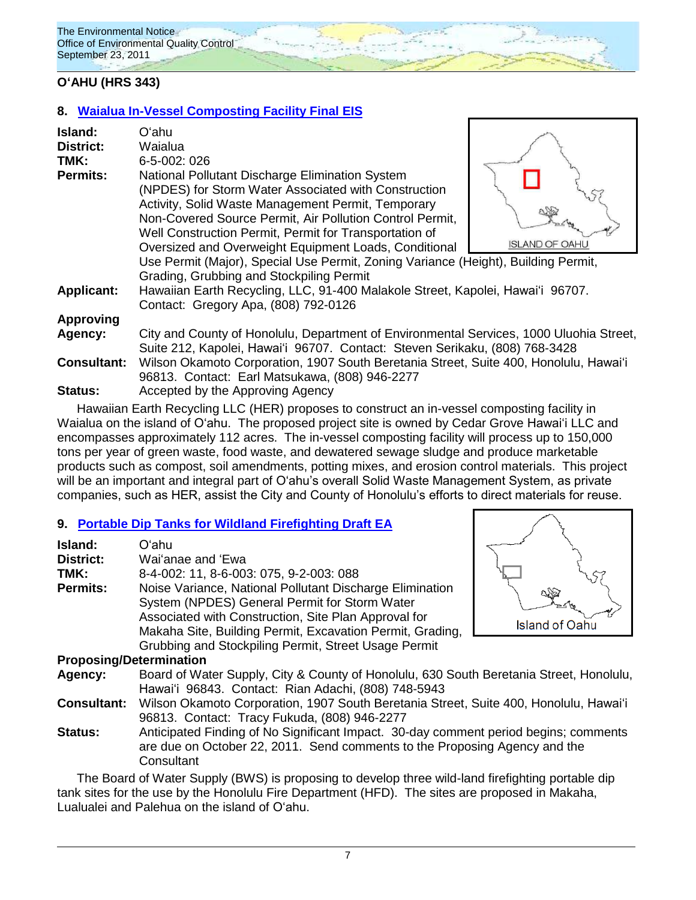### **OʻAHU (HRS 343)**

### **8. [Waialua In-Vessel Composting Facility](http://oeqc.doh.hawaii.gov/Shared%20Documents/EA_and_EIS_Online_Library/Oahu/2010s/2011-09-23-FEIS-Waialua-In-Vessel-Composting.pdf) Final EIS**

| Island:<br><b>District:</b><br>TMK:<br><b>Permits:</b> | Oʻahu<br>Waialua<br>6-5-002: 026<br>National Pollutant Discharge Elimination System<br>(NPDES) for Storm Water Associated with Construction<br>Activity, Solid Waste Management Permit, Temporary<br>Non-Covered Source Permit, Air Pollution Control Permit,<br>Well Construction Permit, Permit for Transportation of<br>Oversized and Overweight Equipment Loads, Conditional<br>Use Permit (Major), Special Use Permit, Zoning Variance (Height), Building Permit, | <b>ISLAND OF OAHU</b> |
|--------------------------------------------------------|------------------------------------------------------------------------------------------------------------------------------------------------------------------------------------------------------------------------------------------------------------------------------------------------------------------------------------------------------------------------------------------------------------------------------------------------------------------------|-----------------------|
| <b>Applicant:</b>                                      | Grading, Grubbing and Stockpiling Permit<br>Hawaiian Earth Recycling, LLC, 91-400 Malakole Street, Kapolei, Hawai'i 96707.<br>Contact: Gregory Apa, (808) 792-0126                                                                                                                                                                                                                                                                                                     |                       |
| <b>Approving</b>                                       |                                                                                                                                                                                                                                                                                                                                                                                                                                                                        |                       |
| Agency:                                                | City and County of Honolulu, Department of Environmental Services, 1000 Uluohia Street,<br>Suite 212, Kapolei, Hawai'i 96707. Contact: Steven Serikaku, (808) 768-3428                                                                                                                                                                                                                                                                                                 |                       |
| <b>Consultant:</b>                                     | Wilson Okamoto Corporation, 1907 South Beretania Street, Suite 400, Honolulu, Hawai'i<br>96813. Contact: Earl Matsukawa, (808) 946-2277                                                                                                                                                                                                                                                                                                                                |                       |
| <b>Status:</b>                                         | Accepted by the Approving Agency                                                                                                                                                                                                                                                                                                                                                                                                                                       |                       |

Hawaiian Earth Recycling LLC (HER) proposes to construct an in-vessel composting facility in Waialua on the island of Oʻahu. The proposed project site is owned by Cedar Grove Hawaiʻi LLC and encompasses approximately 112 acres. The in-vessel composting facility will process up to 150,000 tons per year of green waste, food waste, and dewatered sewage sludge and produce marketable products such as compost, soil amendments, potting mixes, and erosion control materials. This project will be an important and integral part of O'ahu's overall Solid Waste Management System, as private companies, such as HER, assist the City and County of Honolulu"s efforts to direct materials for reuse.

### **9. [Portable Dip Tanks for Wildland Firefighting Draft EA](http://oeqc.doh.hawaii.gov/Shared%20Documents/EA_and_EIS_Online_Library/Oahu/2010s/2011-09-23-DEA-Portable-Dip-Tanks-Wildland-Firefighting.pdf)**

| Island:          | Oʻahu                                                     |
|------------------|-----------------------------------------------------------|
| <b>District:</b> | Wai'anae and 'Ewa                                         |
| TMK:             | 8-4-002: 11, 8-6-003: 075, 9-2-003: 088                   |
| <b>Permits:</b>  | Noise Variance, National Pollutant Discharge Elimination  |
|                  | System (NPDES) General Permit for Storm Water             |
|                  | Associated with Construction, Site Plan Approval for      |
|                  | Makaha Site, Building Permit, Excavation Permit, Grading, |
|                  | Grubbing and Stockpiling Permit, Street Usage Permit      |
|                  |                                                           |



### **Proposing/Determination**

**Agency:** Board of Water Supply, City & County of Honolulu, 630 South Beretania Street, Honolulu, Hawaiʻi 96843. Contact: Rian Adachi, (808) 748-5943

**Consultant:** Wilson Okamoto Corporation, 1907 South Beretania Street, Suite 400, Honolulu, Hawaiʻi 96813. Contact: Tracy Fukuda, (808) 946-2277

**Status:** Anticipated Finding of No Significant Impact. 30-day comment period begins; comments are due on October 22, 2011. Send comments to the Proposing Agency and the **Consultant** 

The Board of Water Supply (BWS) is proposing to develop three wild-land firefighting portable dip tank sites for the use by the Honolulu Fire Department (HFD). The sites are proposed in Makaha, Lualualei and Palehua on the island of Oʻahu.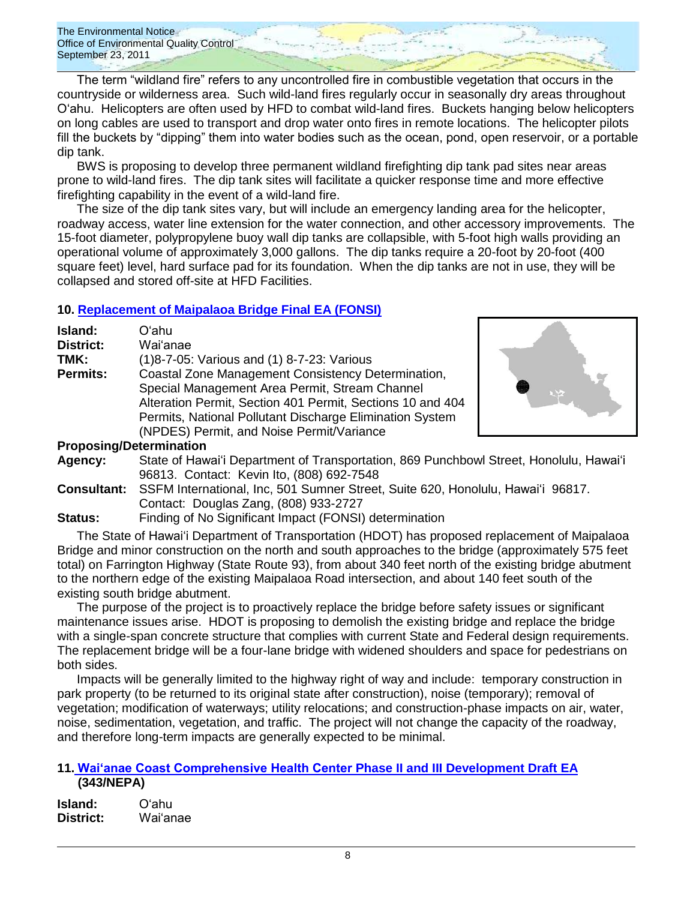The term "wildland fire" refers to any uncontrolled fire in combustible vegetation that occurs in the countryside or wilderness area. Such wild-land fires regularly occur in seasonally dry areas throughout Oʻahu. Helicopters are often used by HFD to combat wild-land fires. Buckets hanging below helicopters on long cables are used to transport and drop water onto fires in remote locations. The helicopter pilots fill the buckets by "dipping" them into water bodies such as the ocean, pond, open reservoir, or a portable dip tank.

BWS is proposing to develop three permanent wildland firefighting dip tank pad sites near areas prone to wild-land fires. The dip tank sites will facilitate a quicker response time and more effective firefighting capability in the event of a wild-land fire.

The size of the dip tank sites vary, but will include an emergency landing area for the helicopter, roadway access, water line extension for the water connection, and other accessory improvements. The 15-foot diameter, polypropylene buoy wall dip tanks are collapsible, with 5-foot high walls providing an operational volume of approximately 3,000 gallons. The dip tanks require a 20-foot by 20-foot (400 square feet) level, hard surface pad for its foundation. When the dip tanks are not in use, they will be collapsed and stored off-site at HFD Facilities.

### **10. [Replacement of Maipalaoa Bridge](http://oeqc.doh.hawaii.gov/Shared%20Documents/EA_and_EIS_Online_Library/Oahu/2010s/2011-09-23-FEA-Maipalaoa-Bridge-Replacement.pdf) Final EA (FONSI)**

| Island:          | Oʻahu                                                      |
|------------------|------------------------------------------------------------|
| <b>District:</b> | Wai'anae                                                   |
| TMK:             | (1) 8-7-05: Various and (1) 8-7-23: Various                |
| <b>Permits:</b>  | Coastal Zone Management Consistency Determination,         |
|                  | Special Management Area Permit, Stream Channel             |
|                  | Alteration Permit, Section 401 Permit, Sections 10 and 404 |
|                  | Permits, National Pollutant Discharge Elimination System   |
|                  | (NPDES) Permit, and Noise Permit/Variance                  |



#### **Proposing/Determination**

- **Agency:** State of Hawaiʻi Department of Transportation, 869 Punchbowl Street, Honolulu, Hawaiʻi 96813. Contact: Kevin Ito, (808) 692-7548
- **Consultant:** SSFM International, Inc, 501 Sumner Street, Suite 620, Honolulu, Hawaiʻi 96817. Contact: Douglas Zang, (808) 933-2727

**Status:** Finding of No Significant Impact (FONSI) determination

The State of Hawaiʻi Department of Transportation (HDOT) has proposed replacement of Maipalaoa Bridge and minor construction on the north and south approaches to the bridge (approximately 575 feet total) on Farrington Highway (State Route 93), from about 340 feet north of the existing bridge abutment to the northern edge of the existing Maipalaoa Road intersection, and about 140 feet south of the existing south bridge abutment.

The purpose of the project is to proactively replace the bridge before safety issues or significant maintenance issues arise. HDOT is proposing to demolish the existing bridge and replace the bridge with a single-span concrete structure that complies with current State and Federal design requirements. The replacement bridge will be a four-lane bridge with widened shoulders and space for pedestrians on both sides.

Impacts will be generally limited to the highway right of way and include: temporary construction in park property (to be returned to its original state after construction), noise (temporary); removal of vegetation; modification of waterways; utility relocations; and construction-phase impacts on air, water, noise, sedimentation, vegetation, and traffic. The project will not change the capacity of the roadway, and therefore long-term impacts are generally expected to be minimal.

### **11. [Wai'anae Coast Comprehensive Health Center](http://oeqc.doh.hawaii.gov/Shared%20Documents/EA_and_EIS_Online_Library/Oahu/2010s/2011-09-23-DEA-NEPA-Waianae-Coast-Health-Center.pdf) Phase II and III Development Draft EA (343/NEPA)**

| Island:          | Oʻahu    |
|------------------|----------|
| <b>District:</b> | Waiʻanae |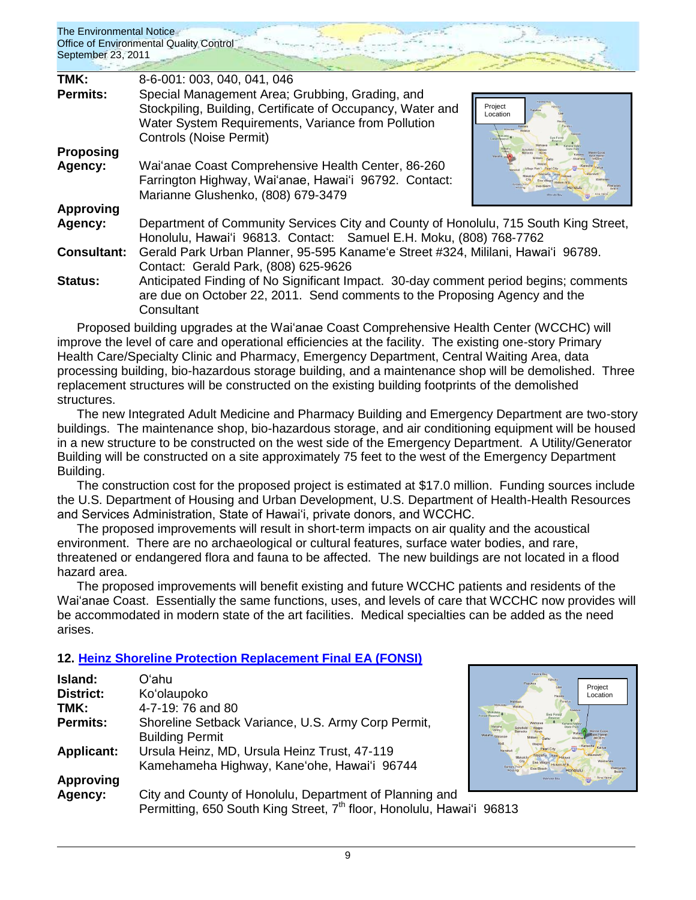| TMK:                        | 8-6-001: 003, 040, 041, 046                                                                                                                                                                    |                                       |
|-----------------------------|------------------------------------------------------------------------------------------------------------------------------------------------------------------------------------------------|---------------------------------------|
| <b>Permits:</b>             | Special Management Area; Grubbing, Grading, and<br>Stockpiling, Building, Certificate of Occupancy, Water and<br>Water System Requirements, Variance from Pollution<br>Controls (Noise Permit) | Project<br>Location<br><b>AASkula</b> |
| <b>Proposing</b><br>Agency: | Wai'anae Coast Comprehensive Health Center, 86-260<br>Farrington Highway, Wai'anae, Hawai'i 96792. Contact:<br>Marianne Glushenko, (808) 679-3479                                              |                                       |
| Approving                   |                                                                                                                                                                                                |                                       |
| Agency:                     | Department of Community Services City and County of Honolulu, 715 South King Street,<br>Honolulu, Hawai'i 96813. Contact: Samuel E.H. Moku, (808) 768-7762                                     |                                       |
| <b>Consultant:</b>          | Gerald Park Urban Planner, 95-595 Kaname'e Street #324, Mililani, Hawai'i 96789.<br>Contact: Gerald Park, (808) 625-9626                                                                       |                                       |
| <b>Status:</b>              | Anticipated Finding of No Significant Impact. 30-day comment period begins; comments<br>are due on October 22, 2011. Send comments to the Proposing Agency and the<br>Consultant               |                                       |

Proposed building upgrades at the Waiʻanae Coast Comprehensive Health Center (WCCHC) will improve the level of care and operational efficiencies at the facility. The existing one-story Primary Health Care/Specialty Clinic and Pharmacy, Emergency Department, Central Waiting Area, data processing building, bio-hazardous storage building, and a maintenance shop will be demolished. Three replacement structures will be constructed on the existing building footprints of the demolished structures.

The new Integrated Adult Medicine and Pharmacy Building and Emergency Department are two-story buildings. The maintenance shop, bio-hazardous storage, and air conditioning equipment will be housed in a new structure to be constructed on the west side of the Emergency Department. A Utility/Generator Building will be constructed on a site approximately 75 feet to the west of the Emergency Department Building.

The construction cost for the proposed project is estimated at \$17.0 million. Funding sources include the U.S. Department of Housing and Urban Development, U.S. Department of Health-Health Resources and Services Administration, State of Hawai"i, private donors, and WCCHC.

The proposed improvements will result in short-term impacts on air quality and the acoustical environment. There are no archaeological or cultural features, surface water bodies, and rare, threatened or endangered flora and fauna to be affected. The new buildings are not located in a flood hazard area.

The proposed improvements will benefit existing and future WCCHC patients and residents of the Waiʻanae Coast. Essentially the same functions, uses, and levels of care that WCCHC now provides will be accommodated in modern state of the art facilities. Medical specialties can be added as the need arises.

## **12. [Heinz Shoreline Protection Replacement](http://oeqc.doh.hawaii.gov/Shared%20Documents/EA_and_EIS_Online_Library/Oahu/2010s/2011-09-23-FEA-Heinz-Seawall-Repair.pdf) Final EA (FONSI)**

| Island:           | Oʻahu                                                                             |            |
|-------------------|-----------------------------------------------------------------------------------|------------|
| <b>District:</b>  | Ko'olaupoko                                                                       |            |
| TMK:              | 4-7-19: 76 and 80                                                                 |            |
| <b>Permits:</b>   | Shoreline Setback Variance, U.S. Army Corp Permit,                                |            |
|                   | <b>Building Permit</b>                                                            | Maili      |
| <b>Applicant:</b> | Ursula Heinz, MD, Ursula Heinz Trust, 47-119                                      | Nanakuli   |
|                   | Kamehameha Highway, Kane'ohe, Hawai'i 96744                                       | Barbers Po |
| <b>Approving</b>  |                                                                                   |            |
| Agency:           | City and County of Honolulu, Department of Planning and                           |            |
|                   | Permitting, 650 South King Street, 7 <sup>th</sup> floor, Honolulu, Hawai'i 96813 |            |

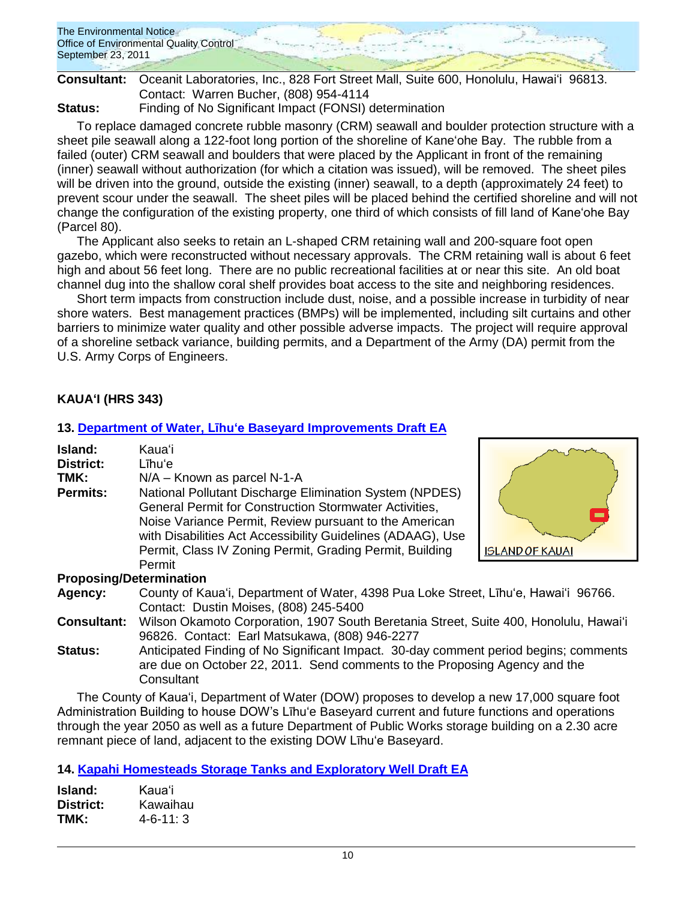

**Consultant:** Oceanit Laboratories, Inc., 828 Fort Street Mall, Suite 600, Honolulu, Hawaiʻi 96813. Contact: Warren Bucher, (808) 954-4114

**Status:** Finding of No Significant Impact (FONSI) determination

To replace damaged concrete rubble masonry (CRM) seawall and boulder protection structure with a sheet pile seawall along a 122-foot long portion of the shoreline of Kaneʻohe Bay. The rubble from a failed (outer) CRM seawall and boulders that were placed by the Applicant in front of the remaining (inner) seawall without authorization (for which a citation was issued), will be removed. The sheet piles will be driven into the ground, outside the existing (inner) seawall, to a depth (approximately 24 feet) to prevent scour under the seawall. The sheet piles will be placed behind the certified shoreline and will not change the configuration of the existing property, one third of which consists of fill land of Kaneʻohe Bay (Parcel 80).

The Applicant also seeks to retain an L-shaped CRM retaining wall and 200-square foot open gazebo, which were reconstructed without necessary approvals. The CRM retaining wall is about 6 feet high and about 56 feet long. There are no public recreational facilities at or near this site. An old boat channel dug into the shallow coral shelf provides boat access to the site and neighboring residences.

Short term impacts from construction include dust, noise, and a possible increase in turbidity of near shore waters. Best management practices (BMPs) will be implemented, including silt curtains and other barriers to minimize water quality and other possible adverse impacts. The project will require approval of a shoreline setback variance, building permits, and a Department of the Army (DA) permit from the U.S. Army Corps of Engineers.

## **KAUAʻI (HRS 343)**

### **13. [Department of Water, Līhuʻe](http://oeqc.doh.hawaii.gov/Shared%20Documents/EA_and_EIS_Online_Library/Kauai/2010s/2011-09-23-DEA-Lihue-Baseyard.pdf) Baseyard Improvements Draft EA**

| Island:<br><b>District:</b><br>TMK:<br><b>Permits:</b> | Kauaʻi<br>Līhu'e<br>N/A - Known as parcel N-1-A<br>National Pollutant Discharge Elimination System (NPDES)<br><b>General Permit for Construction Stormwater Activities,</b><br>Noise Variance Permit, Review pursuant to the American<br>with Disabilities Act Accessibility Guidelines (ADAAG), Use<br>Permit, Class IV Zoning Permit, Grading Permit, Building<br>Permit | <b>ISLAND OF KAUAI</b> |  |
|--------------------------------------------------------|----------------------------------------------------------------------------------------------------------------------------------------------------------------------------------------------------------------------------------------------------------------------------------------------------------------------------------------------------------------------------|------------------------|--|
| <b>Proposing/Determination</b>                         |                                                                                                                                                                                                                                                                                                                                                                            |                        |  |
| Agency:                                                | County of Kaua'i, Department of Water, 4398 Pua Loke Street, Lihu'e, Hawai'i 96766.<br>Contact: Dustin Moises, (808) 245-5400                                                                                                                                                                                                                                              |                        |  |
| <b>Consultant:</b>                                     | Wilson Okamoto Corporation, 1907 South Beretania Street, Suite 400, Honolulu, Hawai'i<br>96826. Contact: Earl Matsukawa, (808) 946-2277                                                                                                                                                                                                                                    |                        |  |
| <b>Status:</b>                                         | Anticipated Finding of No Significant Impact. 30-day comment period begins; comments<br>are due on October 22, 2011. Send comments to the Proposing Agency and the<br>Consultant                                                                                                                                                                                           |                        |  |
|                                                        | The County of Kaua'i, Department of Water (DOW) proposes to develop a new 17,000 square foot                                                                                                                                                                                                                                                                               |                        |  |

The County of Kauaʻi, Department of Water (DOW) proposes to develop a new 17,000 square foot Administration Building to house DOW"s Līhuʻe Baseyard current and future functions and operations through the year 2050 as well as a future Department of Public Works storage building on a 2.30 acre remnant piece of land, adjacent to the existing DOW Līhuʻe Baseyard.

## **14. [Kapahi Homesteads Storage Tanks and Exploratory Well](http://oeqc.doh.hawaii.gov/Shared%20Documents/EA_and_EIS_Online_Library/Kauai/2010s/2011-09-23-DEA-Kapahi-Homesteads.pdf) Draft EA**

| Island:   | Kauaʻi           |
|-----------|------------------|
| District: | Kawaihau         |
| TMK:      | $4 - 6 - 11$ : 3 |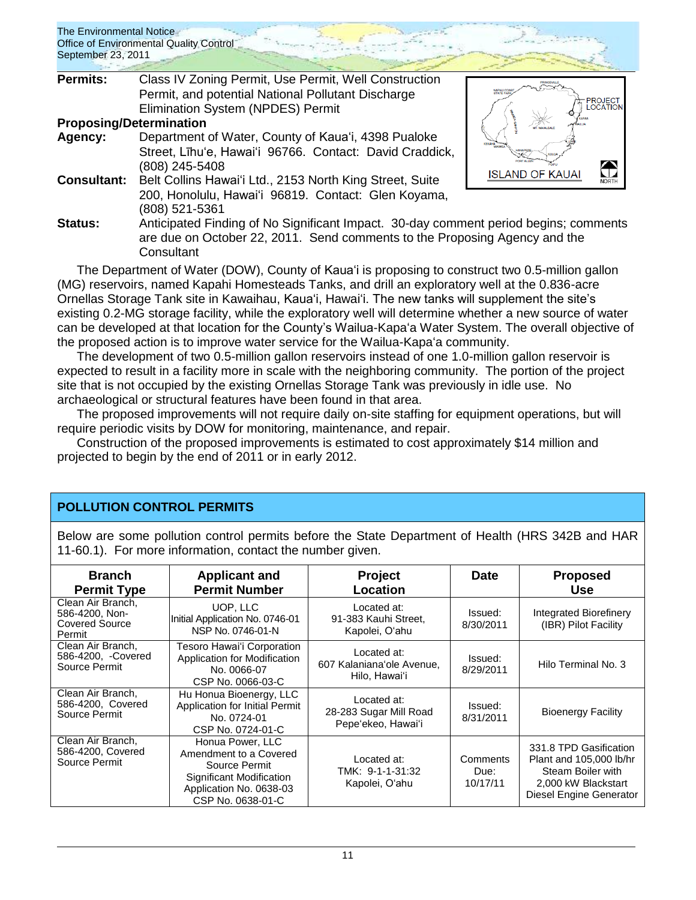| The Environmental Notice<br>September 23, 2011 | Office of Environmental Quality Control                                                                                                                                          |                                |
|------------------------------------------------|----------------------------------------------------------------------------------------------------------------------------------------------------------------------------------|--------------------------------|
| <b>Permits:</b>                                | Class IV Zoning Permit, Use Permit, Well Construction<br>Permit, and potential National Pollutant Discharge                                                                      |                                |
|                                                | <b>Elimination System (NPDES) Permit</b>                                                                                                                                         | PROJECT<br>LOCATION            |
|                                                | <b>Proposing/Determination</b>                                                                                                                                                   |                                |
| Agency:                                        | Department of Water, County of Kaua'i, 4398 Pualoke<br>Street, Līhu'e, Hawai'i 96766. Contact: David Craddick,<br>(808) 245-5408                                                 | HANAPEI<br>$\bigodot$<br>NORTH |
| <b>Consultant:</b>                             | Belt Collins Hawai'i Ltd., 2153 North King Street, Suite<br>200, Honolulu, Hawai'i 96819. Contact: Glen Koyama,<br>(808) 521-5361                                                | <b>ISLAND OF KAUAI</b>         |
| Status:                                        | Anticipated Finding of No Significant Impact. 30-day comment period begins; comments<br>are due on October 22, 2011. Send comments to the Proposing Agency and the<br>Consultant |                                |

The Department of Water (DOW), County of Kauaʻi is proposing to construct two 0.5-million gallon (MG) reservoirs, named Kapahi Homesteads Tanks, and drill an exploratory well at the 0.836-acre Ornellas Storage Tank site in Kawaihau, Kauaʻi, Hawaiʻi. The new tanks will supplement the site"s existing 0.2-MG storage facility, while the exploratory well will determine whether a new source of water can be developed at that location for the County"s Wailua-Kapaʻa Water System. The overall objective of the proposed action is to improve water service for the Wailua-Kapaʻa community.

The development of two 0.5-million gallon reservoirs instead of one 1.0-million gallon reservoir is expected to result in a facility more in scale with the neighboring community. The portion of the project site that is not occupied by the existing Ornellas Storage Tank was previously in idle use. No archaeological or structural features have been found in that area.

The proposed improvements will not require daily on-site staffing for equipment operations, but will require periodic visits by DOW for monitoring, maintenance, and repair.

Construction of the proposed improvements is estimated to cost approximately \$14 million and projected to begin by the end of 2011 or in early 2012.

## **POLLUTION CONTROL PERMITS**

Below are some pollution control permits before the State Department of Health (HRS 342B and HAR 11-60.1). For more information, contact the number given.

| <b>Branch</b><br><b>Permit Type</b>                                    | <b>Applicant and</b><br><b>Permit Number</b>                                                                                            | Project<br>Location                                         | <b>Date</b>                  | <b>Proposed</b><br><b>Use</b>                                                                                            |
|------------------------------------------------------------------------|-----------------------------------------------------------------------------------------------------------------------------------------|-------------------------------------------------------------|------------------------------|--------------------------------------------------------------------------------------------------------------------------|
| Clean Air Branch.<br>586-4200, Non-<br><b>Covered Source</b><br>Permit | UOP. LLC<br>Initial Application No. 0746-01<br>NSP No. 0746-01-N                                                                        | Located at:<br>91-383 Kauhi Street,<br>Kapolei, O'ahu       | Issued:<br>8/30/2011         | Integrated Biorefinery<br>(IBR) Pilot Facility                                                                           |
| Clean Air Branch.<br>586-4200, -Covered<br>Source Permit               | Tesoro Hawai'i Corporation<br>Application for Modification<br>No. 0066-07<br>CSP No. 0066-03-C                                          | Located at:<br>607 Kalaniana'ole Avenue.<br>Hilo, Hawai'i   | Issued:<br>8/29/2011         | Hilo Terminal No. 3                                                                                                      |
| Clean Air Branch,<br>586-4200, Covered<br>Source Permit                | Hu Honua Bioenergy, LLC<br>Application for Initial Permit<br>No. 0724-01<br>CSP No. 0724-01-C                                           | Located at:<br>28-283 Sugar Mill Road<br>Pepe'ekeo, Hawai'i | Issued:<br>8/31/2011         | <b>Bioenergy Facility</b>                                                                                                |
| Clean Air Branch,<br>586-4200, Covered<br>Source Permit                | Honua Power, LLC<br>Amendment to a Covered<br>Source Permit<br>Significant Modification<br>Application No. 0638-03<br>CSP No. 0638-01-C | Located at:<br>TMK: 9-1-1-31:32<br>Kapolei, O'ahu           | Comments<br>Due:<br>10/17/11 | 331.8 TPD Gasification<br>Plant and 105,000 lb/hr<br>Steam Boiler with<br>2,000 kW Blackstart<br>Diesel Engine Generator |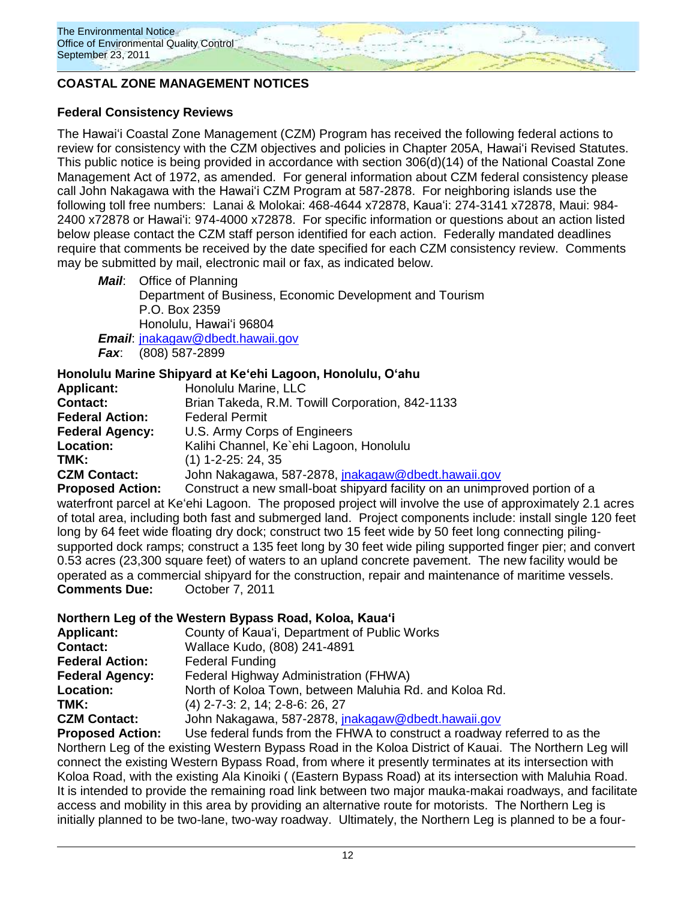

## **COASTAL ZONE MANAGEMENT NOTICES**

### **Federal Consistency Reviews**

The Hawaiʻi Coastal Zone Management (CZM) Program has received the following federal actions to review for consistency with the CZM objectives and policies in Chapter 205A, Hawaiʻi Revised Statutes. This public notice is being provided in accordance with section 306(d)(14) of the National Coastal Zone Management Act of 1972, as amended. For general information about CZM federal consistency please call John Nakagawa with the Hawaiʻi CZM Program at 587-2878. For neighboring islands use the following toll free numbers: Lanai & Molokai: 468-4644 x72878, Kauaʻi: 274-3141 x72878, Maui: 984- 2400 x72878 or Hawaiʻi: 974-4000 x72878. For specific information or questions about an action listed below please contact the CZM staff person identified for each action. Federally mandated deadlines require that comments be received by the date specified for each CZM consistency review. Comments may be submitted by mail, electronic mail or fax, as indicated below.

*Mail*: Office of Planning Department of Business, Economic Development and Tourism P.O. Box 2359 Honolulu, Hawaiʻi 96804

*Email*: [jnakagaw@dbedt.hawaii.gov](mailto:jnakagaw@dbedt.hawaii.gov) *Fax*: (808) 587-2899

### **Honolulu Marine Shipyard at Keʻehi Lagoon, Honolulu, Oʻahu**

| <b>Applicant:</b>       | Honolulu Marine, LLC                                       |
|-------------------------|------------------------------------------------------------|
| <b>Contact:</b>         | Brian Takeda, R.M. Towill Corporation, 842-1133            |
| <b>Federal Action:</b>  | <b>Federal Permit</b>                                      |
| <b>Federal Agency:</b>  | U.S. Army Corps of Engineers                               |
| Location:               | Kalihi Channel, Ke`ehi Lagoon, Honolulu                    |
| TMK:                    | $(1)$ 1-2-25: 24, 35                                       |
| <b>CZM Contact:</b>     | John Nakagawa, 587-2878, jnakagaw@dbedt.hawaii.gov         |
| <b>Pronosed Action:</b> | Construct a new small-hoat shinyard facility on an unimpro |

**Proposed Action:** Construct a new small-boat shipyard facility on an unimproved portion of a waterfront parcel at Keʻehi Lagoon. The proposed project will involve the use of approximately 2.1 acres of total area, including both fast and submerged land. Project components include: install single 120 feet long by 64 feet wide floating dry dock; construct two 15 feet wide by 50 feet long connecting pilingsupported dock ramps; construct a 135 feet long by 30 feet wide piling supported finger pier; and convert 0.53 acres (23,300 square feet) of waters to an upland concrete pavement. The new facility would be operated as a commercial shipyard for the construction, repair and maintenance of maritime vessels. **Comments Due:** October 7, 2011

#### **Northern Leg of the Western Bypass Road, Koloa, Kauaʻi**

| <b>Applicant:</b>      | County of Kaua'i, Department of Public Works                                |
|------------------------|-----------------------------------------------------------------------------|
| <b>Contact:</b>        | Wallace Kudo, (808) 241-4891                                                |
| <b>Federal Action:</b> | <b>Federal Funding</b>                                                      |
| <b>Federal Agency:</b> | Federal Highway Administration (FHWA)                                       |
| <b>Location:</b>       | North of Koloa Town, between Maluhia Rd. and Koloa Rd.                      |
| TMK:                   | (4) 2-7-3: 2, 14; 2-8-6: 26, 27                                             |
| <b>CZM Contact:</b>    | John Nakagawa, 587-2878, jnakagaw@dbedt.hawaii.gov                          |
| Basic speed Antique    | $\Box$ a faileral funda frame that $\Box$ BALA to accortance a readvisor in |

**Proposed Action:** Use federal funds from the FHWA to construct a roadway referred to as the Northern Leg of the existing Western Bypass Road in the Koloa District of Kauai. The Northern Leg will connect the existing Western Bypass Road, from where it presently terminates at its intersection with Koloa Road, with the existing Ala Kinoiki ( (Eastern Bypass Road) at its intersection with Maluhia Road. It is intended to provide the remaining road link between two major mauka-makai roadways, and facilitate access and mobility in this area by providing an alternative route for motorists. The Northern Leg is initially planned to be two-lane, two-way roadway. Ultimately, the Northern Leg is planned to be a four-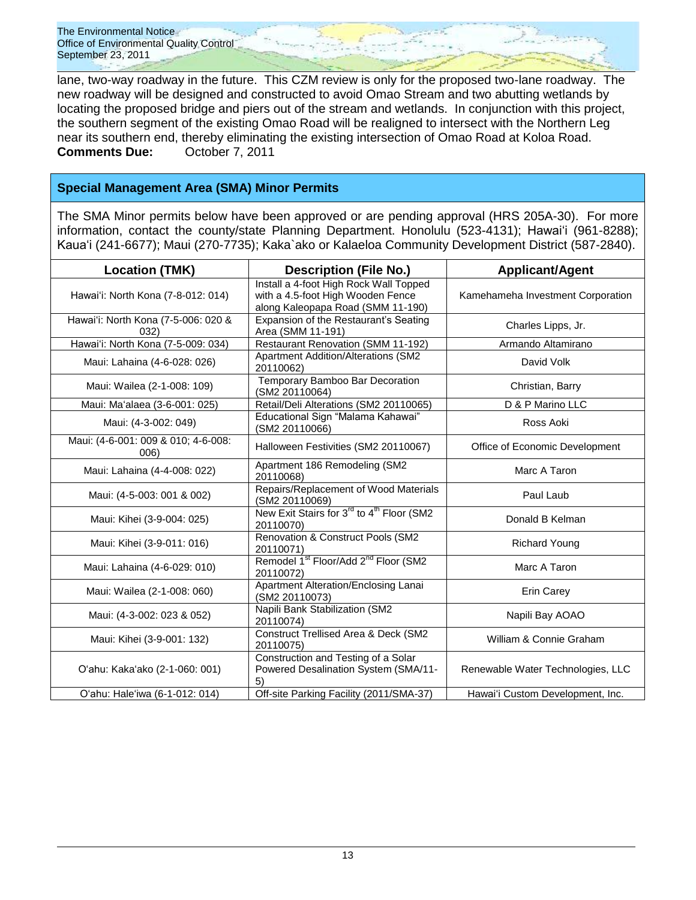lane, two-way roadway in the future. This CZM review is only for the proposed two-lane roadway. The new roadway will be designed and constructed to avoid Omao Stream and two abutting wetlands by locating the proposed bridge and piers out of the stream and wetlands. In conjunction with this project, the southern segment of the existing Omao Road will be realigned to intersect with the Northern Leg near its southern end, thereby eliminating the existing intersection of Omao Road at Koloa Road. **Comments Due:** October 7, 2011

## **Special Management Area (SMA) Minor Permits**

The SMA Minor permits below have been approved or are pending approval (HRS 205A-30). For more information, contact the county/state Planning Department. Honolulu (523-4131); Hawaiʻi (961-8288); Kauaʻi (241-6677); Maui (270-7735); Kaka`ako or Kalaeloa Community Development District (587-2840).

| <b>Location (TMK)</b>                       | <b>Description (File No.)</b>                                                                                    |                                   |
|---------------------------------------------|------------------------------------------------------------------------------------------------------------------|-----------------------------------|
| Hawai'i: North Kona (7-8-012: 014)          | Install a 4-foot High Rock Wall Topped<br>with a 4.5-foot High Wooden Fence<br>along Kaleopapa Road (SMM 11-190) | Kamehameha Investment Corporation |
| Hawai'i: North Kona (7-5-006: 020 &<br>032) | Expansion of the Restaurant's Seating<br>Area (SMM 11-191)                                                       | Charles Lipps, Jr.                |
| Hawai'i: North Kona (7-5-009: 034)          | Restaurant Renovation (SMM 11-192)                                                                               | Armando Altamirano                |
| Maui: Lahaina (4-6-028: 026)                | <b>Apartment Addition/Alterations (SM2</b><br>20110062)                                                          | David Volk                        |
| Maui: Wailea (2-1-008: 109)                 | Temporary Bamboo Bar Decoration<br>(SM2 20110064)                                                                | Christian, Barry                  |
| Maui: Ma'alaea (3-6-001: 025)               | Retail/Deli Alterations (SM2 20110065)                                                                           | D & P Marino LLC                  |
| Maui: (4-3-002: 049)                        | Educational Sign "Malama Kahawai"<br>(SM2 20110066)                                                              | Ross Aoki                         |
| Maui: (4-6-001: 009 & 010; 4-6-008:<br>006) | Halloween Festivities (SM2 20110067)                                                                             | Office of Economic Development    |
| Maui: Lahaina (4-4-008: 022)                | Apartment 186 Remodeling (SM2<br>20110068)                                                                       | Marc A Taron                      |
| Maui: (4-5-003: 001 & 002)                  | Repairs/Replacement of Wood Materials<br>(SM2 20110069)                                                          | Paul Laub                         |
| Maui: Kihei (3-9-004: 025)                  | New Exit Stairs for 3 <sup>rd</sup> to 4 <sup>th</sup> Floor (SM2<br>20110070)                                   | Donald B Kelman                   |
| Maui: Kihei (3-9-011: 016)                  | Renovation & Construct Pools (SM2<br>20110071)                                                                   | <b>Richard Young</b>              |
| Maui: Lahaina (4-6-029: 010)                | Remodel 1 <sup>st</sup> Floor/Add 2 <sup>nd</sup> Floor (SM2<br>20110072)                                        | Marc A Taron                      |
| Maui: Wailea (2-1-008: 060)                 | Apartment Alteration/Enclosing Lanai<br>(SM2 20110073)                                                           | Erin Carey                        |
| Maui: (4-3-002: 023 & 052)                  | Napili Bank Stabilization (SM2<br>20110074)                                                                      | Napili Bay AOAO                   |
| Maui: Kihei (3-9-001: 132)                  | <b>Construct Trellised Area &amp; Deck (SM2</b><br>20110075)                                                     | William & Connie Graham           |
| O'ahu: Kaka'ako (2-1-060: 001)              | Construction and Testing of a Solar<br>Powered Desalination System (SMA/11-<br>5)                                | Renewable Water Technologies, LLC |
| O'ahu: Hale'iwa (6-1-012: 014)              | Off-site Parking Facility (2011/SMA-37)                                                                          | Hawai'i Custom Development, Inc.  |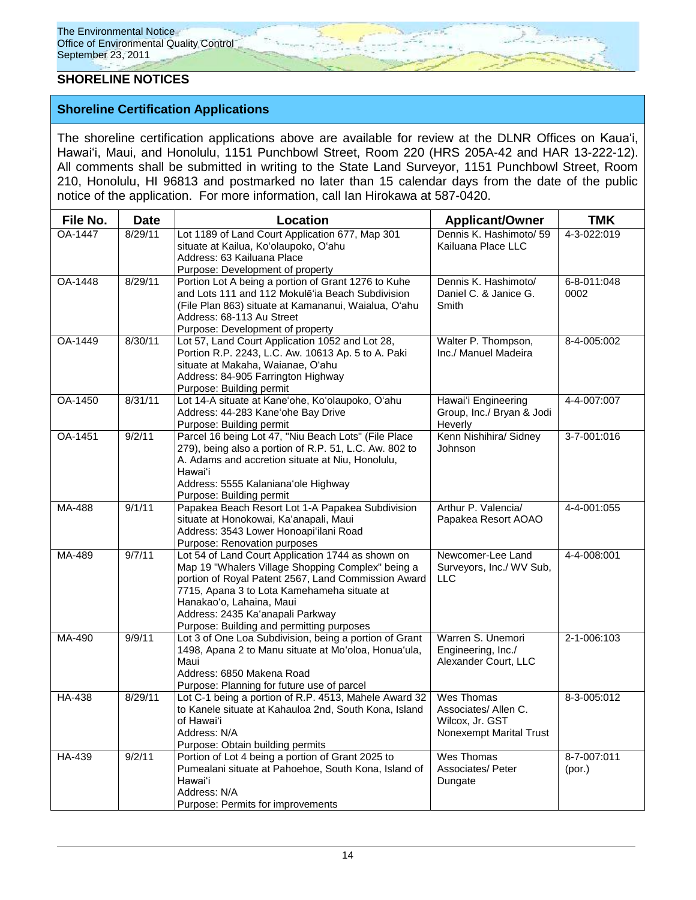### **SHORELINE NOTICES**

### **Shoreline Certification Applications**

The shoreline certification applications above are available for review at the DLNR Offices on Kauaʻi, Hawaiʻi, Maui, and Honolulu, 1151 Punchbowl Street, Room 220 (HRS 205A-42 and HAR 13-222-12). All comments shall be submitted in writing to the State Land Surveyor, 1151 Punchbowl Street, Room 210, Honolulu, HI 96813 and postmarked no later than 15 calendar days from the date of the public notice of the application. For more information, call Ian Hirokawa at 587-0420.

| File No. | <b>Date</b> | Location                                                                                                                                                                                                                                                                                                                  | <b>Applicant/Owner</b>                                                           | <b>TMK</b>            |
|----------|-------------|---------------------------------------------------------------------------------------------------------------------------------------------------------------------------------------------------------------------------------------------------------------------------------------------------------------------------|----------------------------------------------------------------------------------|-----------------------|
| OA-1447  | 8/29/11     | Lot 1189 of Land Court Application 677, Map 301<br>situate at Kailua, Ko'olaupoko, O'ahu<br>Address: 63 Kailuana Place<br>Purpose: Development of property                                                                                                                                                                | Dennis K. Hashimoto/ 59<br>Kailuana Place LLC                                    | 4-3-022:019           |
| OA-1448  | 8/29/11     | Portion Lot A being a portion of Grant 1276 to Kuhe<br>and Lots 111 and 112 Mokulē'ia Beach Subdivision<br>(File Plan 863) situate at Kamananui, Waialua, O'ahu<br>Address: 68-113 Au Street<br>Purpose: Development of property                                                                                          | Dennis K. Hashimoto/<br>Daniel C. & Janice G.<br>Smith                           | 6-8-011:048<br>0002   |
| OA-1449  | 8/30/11     | Lot 57, Land Court Application 1052 and Lot 28,<br>Portion R.P. 2243, L.C. Aw. 10613 Ap. 5 to A. Paki<br>situate at Makaha, Waianae, O'ahu<br>Address: 84-905 Farrington Highway<br>Purpose: Building permit                                                                                                              | Walter P. Thompson,<br>Inc./ Manuel Madeira                                      | 8-4-005:002           |
| OA-1450  | 8/31/11     | Lot 14-A situate at Kane'ohe, Ko'olaupoko, O'ahu<br>Address: 44-283 Kane'ohe Bay Drive<br>Purpose: Building permit                                                                                                                                                                                                        | Hawai'i Engineering<br>Group, Inc./ Bryan & Jodi<br>Heverly                      | 4-4-007:007           |
| OA-1451  | 9/2/11      | Parcel 16 being Lot 47, "Niu Beach Lots" (File Place<br>279), being also a portion of R.P. 51, L.C. Aw. 802 to<br>A. Adams and accretion situate at Niu, Honolulu,<br>Hawaiʻi<br>Address: 5555 Kalaniana'ole Highway<br>Purpose: Building permit                                                                          | Kenn Nishihira/ Sidney<br>Johnson                                                | 3-7-001:016           |
| MA-488   | 9/1/11      | Papakea Beach Resort Lot 1-A Papakea Subdivision<br>situate at Honokowai, Ka'anapali, Maui<br>Address: 3543 Lower Honoapi'ilani Road<br>Purpose: Renovation purposes                                                                                                                                                      | Arthur P. Valencia/<br>Papakea Resort AOAO                                       | 4-4-001:055           |
| MA-489   | 9/7/11      | Lot 54 of Land Court Application 1744 as shown on<br>Map 19 "Whalers Village Shopping Complex" being a<br>portion of Royal Patent 2567, Land Commission Award<br>7715, Apana 3 to Lota Kamehameha situate at<br>Hanakao'o, Lahaina, Maui<br>Address: 2435 Ka'anapali Parkway<br>Purpose: Building and permitting purposes | Newcomer-Lee Land<br>Surveyors, Inc./ WV Sub,<br><b>LLC</b>                      | 4-4-008:001           |
| MA-490   | 9/9/11      | Lot 3 of One Loa Subdivision, being a portion of Grant<br>1498, Apana 2 to Manu situate at Mo'oloa, Honua'ula,<br>Maui<br>Address: 6850 Makena Road<br>Purpose: Planning for future use of parcel                                                                                                                         | Warren S. Unemori<br>Engineering, Inc./<br>Alexander Court, LLC                  | 2-1-006:103           |
| HA-438   | 8/29/11     | Lot C-1 being a portion of R.P. 4513, Mahele Award 32<br>to Kanele situate at Kahauloa 2nd, South Kona, Island<br>of Hawaiʻi<br>Address: N/A<br>Purpose: Obtain building permits                                                                                                                                          | Wes Thomas<br>Associates/ Allen C.<br>Wilcox, Jr. GST<br>Nonexempt Marital Trust | 8-3-005:012           |
| HA-439   | 9/2/11      | Portion of Lot 4 being a portion of Grant 2025 to<br>Pumealani situate at Pahoehoe, South Kona, Island of<br>Hawai'i<br>Address: N/A<br>Purpose: Permits for improvements                                                                                                                                                 | Wes Thomas<br>Associates/Peter<br>Dungate                                        | 8-7-007:011<br>(por.) |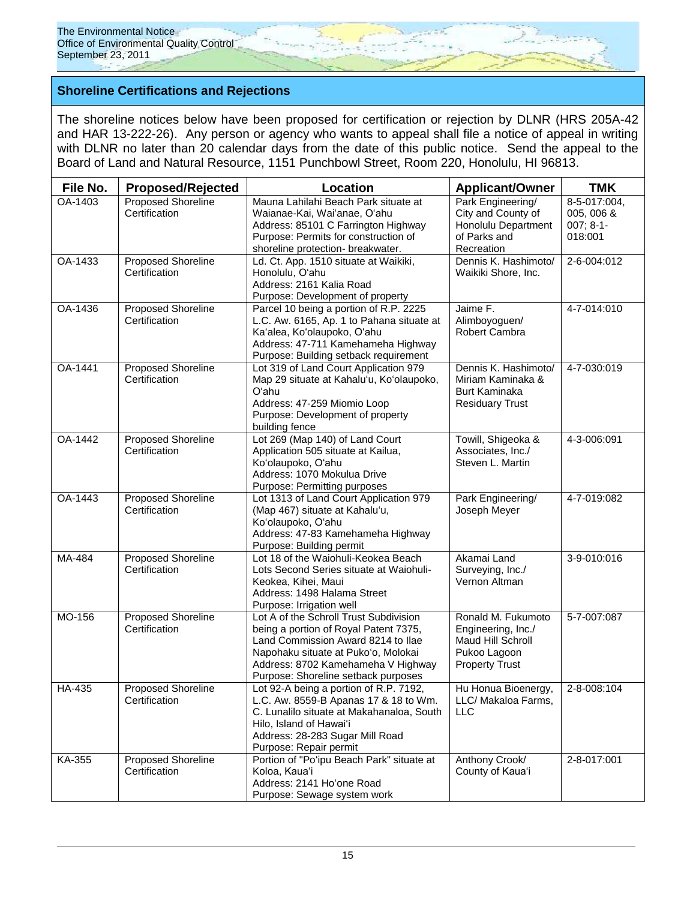### **Shoreline Certifications and Rejections**

The shoreline notices below have been proposed for certification or rejection by DLNR (HRS 205A-42 and HAR 13-222-26). Any person or agency who wants to appeal shall file a notice of appeal in writing with DLNR no later than 20 calendar days from the date of this public notice. Send the appeal to the Board of Land and Natural Resource, 1151 Punchbowl Street, Room 220, Honolulu, HI 96813.

| File No. | <b>Proposed/Rejected</b>                   | Location                                                                                                                                                                                                                                  | <b>Applicant/Owner</b>                                                                                 | <b>TMK</b>                                           |
|----------|--------------------------------------------|-------------------------------------------------------------------------------------------------------------------------------------------------------------------------------------------------------------------------------------------|--------------------------------------------------------------------------------------------------------|------------------------------------------------------|
| OA-1403  | <b>Proposed Shoreline</b><br>Certification | Mauna Lahilahi Beach Park situate at<br>Waianae-Kai, Wai'anae, O'ahu<br>Address: 85101 C Farrington Highway<br>Purpose: Permits for construction of<br>shoreline protection- breakwater.                                                  | Park Engineering/<br>City and County of<br>Honolulu Department<br>of Parks and<br>Recreation           | 8-5-017:004,<br>005, 006 &<br>$007; 8-1-$<br>018:001 |
| OA-1433  | Proposed Shoreline<br>Certification        | Ld. Ct. App. 1510 situate at Waikiki,<br>Honolulu, O'ahu<br>Address: 2161 Kalia Road<br>Purpose: Development of property                                                                                                                  | Dennis K. Hashimoto/<br>Waikiki Shore, Inc.                                                            | 2-6-004:012                                          |
| OA-1436  | Proposed Shoreline<br>Certification        | Parcel 10 being a portion of R.P. 2225<br>L.C. Aw. 6165, Ap. 1 to Pahana situate at<br>Ka'alea, Ko'olaupoko, O'ahu<br>Address: 47-711 Kamehameha Highway<br>Purpose: Building setback requirement                                         | Jaime F.<br>Alimboyoguen/<br>Robert Cambra                                                             | 4-7-014:010                                          |
| OA-1441  | <b>Proposed Shoreline</b><br>Certification | Lot 319 of Land Court Application 979<br>Map 29 situate at Kahalu'u, Ko'olaupoko,<br>Oʻahu<br>Address: 47-259 Miomio Loop<br>Purpose: Development of property<br>building fence                                                           | Dennis K. Hashimoto/<br>Miriam Kaminaka &<br><b>Burt Kaminaka</b><br><b>Residuary Trust</b>            | 4-7-030:019                                          |
| OA-1442  | <b>Proposed Shoreline</b><br>Certification | Lot 269 (Map 140) of Land Court<br>Application 505 situate at Kailua,<br>Ko'olaupoko, O'ahu<br>Address: 1070 Mokulua Drive<br>Purpose: Permitting purposes                                                                                | Towill, Shigeoka &<br>Associates, Inc./<br>Steven L. Martin                                            | 4-3-006:091                                          |
| OA-1443  | <b>Proposed Shoreline</b><br>Certification | Lot 1313 of Land Court Application 979<br>(Map 467) situate at Kahalu'u,<br>Ko'olaupoko, O'ahu<br>Address: 47-83 Kamehameha Highway<br>Purpose: Building permit                                                                           | Park Engineering/<br>Joseph Meyer                                                                      | 4-7-019:082                                          |
| MA-484   | <b>Proposed Shoreline</b><br>Certification | Lot 18 of the Waiohuli-Keokea Beach<br>Lots Second Series situate at Waiohuli-<br>Keokea, Kihei, Maui<br>Address: 1498 Halama Street<br>Purpose: Irrigation well                                                                          | Akamai Land<br>Surveying, Inc./<br>Vernon Altman                                                       | 3-9-010:016                                          |
| MO-156   | Proposed Shoreline<br>Certification        | Lot A of the Schroll Trust Subdivision<br>being a portion of Royal Patent 7375,<br>Land Commission Award 8214 to Ilae<br>Napohaku situate at Puko'o, Molokai<br>Address: 8702 Kamehameha V Highway<br>Purpose: Shoreline setback purposes | Ronald M. Fukumoto<br>Engineering, Inc./<br>Maud Hill Schroll<br>Pukoo Lagoon<br><b>Property Trust</b> | 5-7-007:087                                          |
| HA-435   | <b>Proposed Shoreline</b><br>Certification | Lot 92-A being a portion of R.P. 7192,<br>L.C. Aw. 8559-B Apanas 17 & 18 to Wm.<br>C. Lunalilo situate at Makahanaloa, South<br>Hilo, Island of Hawai'i<br>Address: 28-283 Sugar Mill Road<br>Purpose: Repair permit                      | Hu Honua Bioenergy,<br>LLC/ Makaloa Farms,<br>LLC                                                      | $2 - 8 - 008:104$                                    |
| KA-355   | Proposed Shoreline<br>Certification        | Portion of "Po'ipu Beach Park" situate at<br>Koloa, Kaua'i<br>Address: 2141 Ho'one Road<br>Purpose: Sewage system work                                                                                                                    | Anthony Crook/<br>County of Kaua'i                                                                     | 2-8-017:001                                          |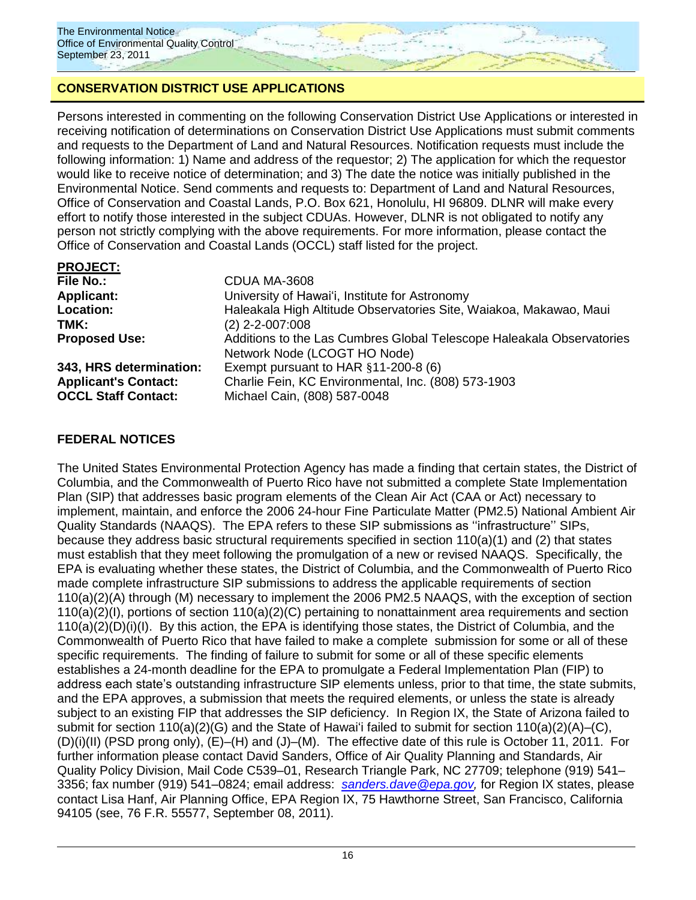## **CONSERVATION DISTRICT USE APPLICATIONS**

Persons interested in commenting on the following Conservation District Use Applications or interested in receiving notification of determinations on Conservation District Use Applications must submit comments and requests to the Department of Land and Natural Resources. Notification requests must include the following information: 1) Name and address of the requestor; 2) The application for which the requestor would like to receive notice of determination; and 3) The date the notice was initially published in the Environmental Notice. Send comments and requests to: Department of Land and Natural Resources, Office of Conservation and Coastal Lands, P.O. Box 621, Honolulu, HI 96809. DLNR will make every effort to notify those interested in the subject CDUAs. However, DLNR is not obligated to notify any person not strictly complying with the above requirements. For more information, please contact the Office of Conservation and Coastal Lands (OCCL) staff listed for the project.

| <b>PROJECT:</b>             |                                                                       |
|-----------------------------|-----------------------------------------------------------------------|
| <b>File No.:</b>            | CDUA MA-3608                                                          |
| <b>Applicant:</b>           | University of Hawai'i, Institute for Astronomy                        |
| <b>Location:</b>            | Haleakala High Altitude Observatories Site, Waiakoa, Makawao, Maui    |
| TMK:                        | $(2)$ 2-2-007:008                                                     |
| <b>Proposed Use:</b>        | Additions to the Las Cumbres Global Telescope Haleakala Observatories |
|                             | Network Node (LCOGT HO Node)                                          |
| 343, HRS determination:     | Exempt pursuant to HAR $§11-200-8$ (6)                                |
| <b>Applicant's Contact:</b> | Charlie Fein, KC Environmental, Inc. (808) 573-1903                   |
| <b>OCCL Staff Contact:</b>  | Michael Cain, (808) 587-0048                                          |

## **FEDERAL NOTICES**

The United States Environmental Protection Agency has made a finding that certain states, the District of Columbia, and the Commonwealth of Puerto Rico have not submitted a complete State Implementation Plan (SIP) that addresses basic program elements of the Clean Air Act (CAA or Act) necessary to implement, maintain, and enforce the 2006 24-hour Fine Particulate Matter (PM2.5) National Ambient Air Quality Standards (NAAQS). The EPA refers to these SIP submissions as ""infrastructure"" SIPs, because they address basic structural requirements specified in section 110(a)(1) and (2) that states must establish that they meet following the promulgation of a new or revised NAAQS. Specifically, the EPA is evaluating whether these states, the District of Columbia, and the Commonwealth of Puerto Rico made complete infrastructure SIP submissions to address the applicable requirements of section 110(a)(2)(A) through (M) necessary to implement the 2006 PM2.5 NAAQS, with the exception of section 110(a)(2)(I), portions of section 110(a)(2)(C) pertaining to nonattainment area requirements and section 110(a)(2)(D)(i)(I). By this action, the EPA is identifying those states, the District of Columbia, and the Commonwealth of Puerto Rico that have failed to make a complete submission for some or all of these specific requirements. The finding of failure to submit for some or all of these specific elements establishes a 24-month deadline for the EPA to promulgate a Federal Implementation Plan (FIP) to address each state's outstanding infrastructure SIP elements unless, prior to that time, the state submits, and the EPA approves, a submission that meets the required elements, or unless the state is already subject to an existing FIP that addresses the SIP deficiency. In Region IX, the State of Arizona failed to submit for section 110(a)(2)(G) and the State of Hawai'i failed to submit for section 110(a)(2)(A)–(C), (D)(i)(II) (PSD prong only), (E)–(H) and (J)–(M). The effective date of this rule is October 11, 2011. For further information please contact David Sanders, Office of Air Quality Planning and Standards, Air Quality Policy Division, Mail Code C539–01, Research Triangle Park, NC 27709; telephone (919) 541– 3356; fax number (919) 541–0824; email address: *[sanders.dave@epa.gov,](mailto:sanders.dave@epa.gov)* for Region IX states, please contact Lisa Hanf, Air Planning Office, EPA Region IX, 75 Hawthorne Street, San Francisco, California 94105 (see, 76 F.R. 55577, September 08, 2011).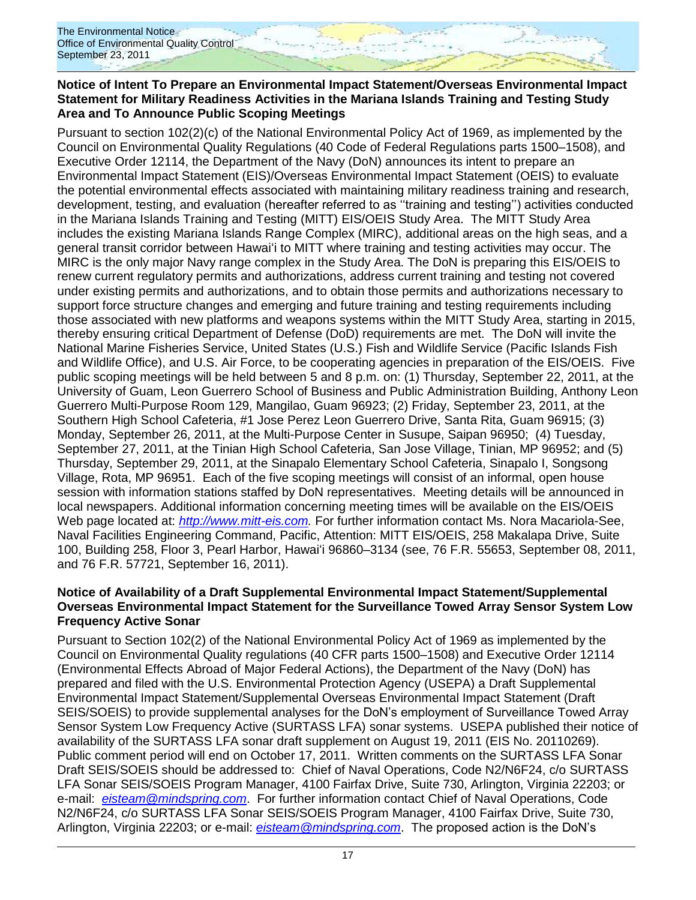### **Notice of Intent To Prepare an Environmental Impact Statement/Overseas Environmental Impact Statement for Military Readiness Activities in the Mariana Islands Training and Testing Study Area and To Announce Public Scoping Meetings**

Pursuant to section 102(2)(c) of the National Environmental Policy Act of 1969, as implemented by the Council on Environmental Quality Regulations (40 Code of Federal Regulations parts 1500–1508), and Executive Order 12114, the Department of the Navy (DoN) announces its intent to prepare an Environmental Impact Statement (EIS)/Overseas Environmental Impact Statement (OEIS) to evaluate the potential environmental effects associated with maintaining military readiness training and research, development, testing, and evaluation (hereafter referred to as ""training and testing"") activities conducted in the Mariana Islands Training and Testing (MITT) EIS/OEIS Study Area. The MITT Study Area includes the existing Mariana Islands Range Complex (MIRC), additional areas on the high seas, and a general transit corridor between Hawai"i to MITT where training and testing activities may occur. The MIRC is the only major Navy range complex in the Study Area. The DoN is preparing this EIS/OEIS to renew current regulatory permits and authorizations, address current training and testing not covered under existing permits and authorizations, and to obtain those permits and authorizations necessary to support force structure changes and emerging and future training and testing requirements including those associated with new platforms and weapons systems within the MITT Study Area, starting in 2015, thereby ensuring critical Department of Defense (DoD) requirements are met. The DoN will invite the National Marine Fisheries Service, United States (U.S.) Fish and Wildlife Service (Pacific Islands Fish and Wildlife Office), and U.S. Air Force, to be cooperating agencies in preparation of the EIS/OEIS. Five public scoping meetings will be held between 5 and 8 p.m. on: (1) Thursday, September 22, 2011, at the University of Guam, Leon Guerrero School of Business and Public Administration Building, Anthony Leon Guerrero Multi-Purpose Room 129, Mangilao, Guam 96923; (2) Friday, September 23, 2011, at the Southern High School Cafeteria, #1 Jose Perez Leon Guerrero Drive, Santa Rita, Guam 96915; (3) Monday, September 26, 2011, at the Multi-Purpose Center in Susupe, Saipan 96950; (4) Tuesday, September 27, 2011, at the Tinian High School Cafeteria, San Jose Village, Tinian, MP 96952; and (5) Thursday, September 29, 2011, at the Sinapalo Elementary School Cafeteria, Sinapalo I, Songsong Village, Rota, MP 96951. Each of the five scoping meetings will consist of an informal, open house session with information stations staffed by DoN representatives. Meeting details will be announced in local newspapers. Additional information concerning meeting times will be available on the EIS/OEIS Web page located at: *[http://www.mitt-eis.com.](http://www.mitt-eis.com/)* For further information contact Ms. Nora Macariola-See, Naval Facilities Engineering Command, Pacific, Attention: MITT EIS/OEIS, 258 Makalapa Drive, Suite 100, Building 258, Floor 3, Pearl Harbor, Hawai"i 96860–3134 (see, 76 F.R. 55653, September 08, 2011, and 76 F.R. 57721, September 16, 2011).

### **Notice of Availability of a Draft Supplemental Environmental Impact Statement/Supplemental Overseas Environmental Impact Statement for the Surveillance Towed Array Sensor System Low Frequency Active Sonar**

Pursuant to Section 102(2) of the National Environmental Policy Act of 1969 as implemented by the Council on Environmental Quality regulations (40 CFR parts 1500–1508) and Executive Order 12114 (Environmental Effects Abroad of Major Federal Actions), the Department of the Navy (DoN) has prepared and filed with the U.S. Environmental Protection Agency (USEPA) a Draft Supplemental Environmental Impact Statement/Supplemental Overseas Environmental Impact Statement (Draft SEIS/SOEIS) to provide supplemental analyses for the DoN"s employment of Surveillance Towed Array Sensor System Low Frequency Active (SURTASS LFA) sonar systems. USEPA published their notice of availability of the SURTASS LFA sonar draft supplement on August 19, 2011 (EIS No. 20110269). Public comment period will end on October 17, 2011. Written comments on the SURTASS LFA Sonar Draft SEIS/SOEIS should be addressed to: Chief of Naval Operations, Code N2/N6F24, c/o SURTASS LFA Sonar SEIS/SOEIS Program Manager, 4100 Fairfax Drive, Suite 730, Arlington, Virginia 22203; or e-mail: *[eisteam@mindspring.com](mailto:eisteam@mindspring.com)*. For further information contact Chief of Naval Operations, Code N2/N6F24, c/o SURTASS LFA Sonar SEIS/SOEIS Program Manager, 4100 Fairfax Drive, Suite 730, Arlington, Virginia 22203; or e-mail: *[eisteam@mindspring.com](mailto:eisteam@mindspring.com)*. The proposed action is the DoN"s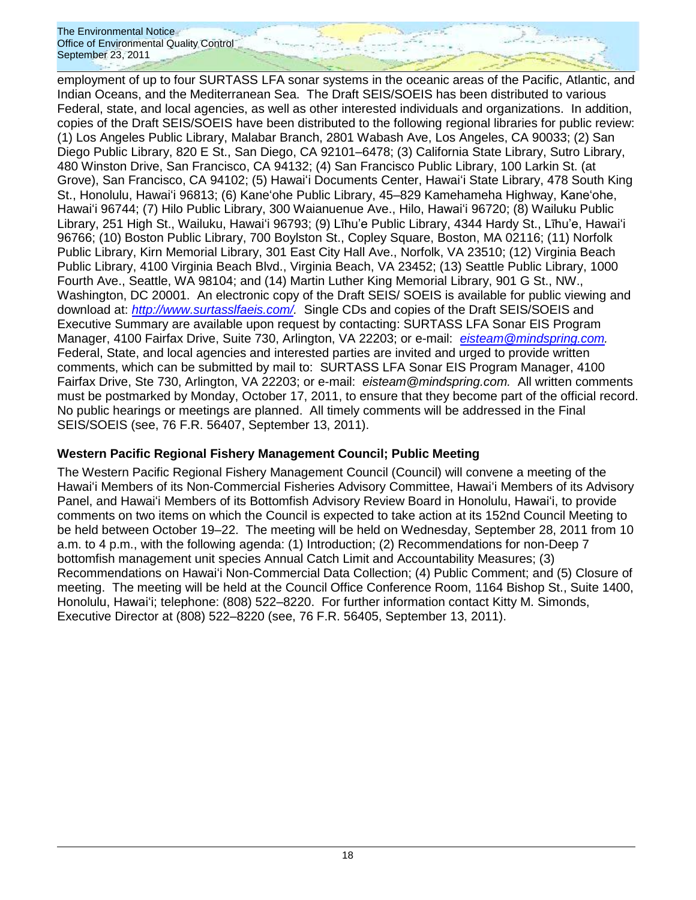employment of up to four SURTASS LFA sonar systems in the oceanic areas of the Pacific, Atlantic, and Indian Oceans, and the Mediterranean Sea. The Draft SEIS/SOEIS has been distributed to various Federal, state, and local agencies, as well as other interested individuals and organizations. In addition, copies of the Draft SEIS/SOEIS have been distributed to the following regional libraries for public review: (1) Los Angeles Public Library, Malabar Branch, 2801 Wabash Ave, Los Angeles, CA 90033; (2) San Diego Public Library, 820 E St., San Diego, CA 92101–6478; (3) California State Library, Sutro Library, 480 Winston Drive, San Francisco, CA 94132; (4) San Francisco Public Library, 100 Larkin St. (at Grove), San Francisco, CA 94102; (5) Hawai"i Documents Center, Hawai"i State Library, 478 South King St., Honolulu, Hawai"i 96813; (6) Kaneʻohe Public Library, 45–829 Kamehameha Highway, Kaneʻohe, Hawai"i 96744; (7) Hilo Public Library, 300 Waianuenue Ave., Hilo, Hawai"i 96720; (8) Wailuku Public Library, 251 High St., Wailuku, Hawai"i 96793; (9) Līhu"e Public Library, 4344 Hardy St., Līhu"e, Hawai"i 96766; (10) Boston Public Library, 700 Boylston St., Copley Square, Boston, MA 02116; (11) Norfolk Public Library, Kirn Memorial Library, 301 East City Hall Ave., Norfolk, VA 23510; (12) Virginia Beach Public Library, 4100 Virginia Beach Blvd., Virginia Beach, VA 23452; (13) Seattle Public Library, 1000 Fourth Ave., Seattle, WA 98104; and (14) Martin Luther King Memorial Library, 901 G St., NW., Washington, DC 20001. An electronic copy of the Draft SEIS/ SOEIS is available for public viewing and download at: *[http://www.surtasslfaeis.com/.](http://www.surtasslfaeis.com/)* Single CDs and copies of the Draft SEIS/SOEIS and Executive Summary are available upon request by contacting: SURTASS LFA Sonar EIS Program Manager, 4100 Fairfax Drive, Suite 730, Arlington, VA 22203; or e-mail: *[eisteam@mindspring.com.](mailto:eisteam@mindspring.com)* Federal, State, and local agencies and interested parties are invited and urged to provide written comments, which can be submitted by mail to: SURTASS LFA Sonar EIS Program Manager, 4100 Fairfax Drive, Ste 730, Arlington, VA 22203; or e-mail: *eisteam@mindspring.com.* All written comments must be postmarked by Monday, October 17, 2011, to ensure that they become part of the official record. No public hearings or meetings are planned. All timely comments will be addressed in the Final SEIS/SOEIS (see, 76 F.R. 56407, September 13, 2011).

## **Western Pacific Regional Fishery Management Council; Public Meeting**

The Western Pacific Regional Fishery Management Council (Council) will convene a meeting of the Hawai"i Members of its Non-Commercial Fisheries Advisory Committee, Hawai"i Members of its Advisory Panel, and Hawai"i Members of its Bottomfish Advisory Review Board in Honolulu, Hawai"i, to provide comments on two items on which the Council is expected to take action at its 152nd Council Meeting to be held between October 19–22. The meeting will be held on Wednesday, September 28, 2011 from 10 a.m. to 4 p.m., with the following agenda: (1) Introduction; (2) Recommendations for non-Deep 7 bottomfish management unit species Annual Catch Limit and Accountability Measures; (3) Recommendations on Hawai"i Non-Commercial Data Collection; (4) Public Comment; and (5) Closure of meeting. The meeting will be held at the Council Office Conference Room, 1164 Bishop St., Suite 1400, Honolulu, Hawai"i; telephone: (808) 522–8220. For further information contact Kitty M. Simonds, Executive Director at (808) 522–8220 (see, 76 F.R. 56405, September 13, 2011).